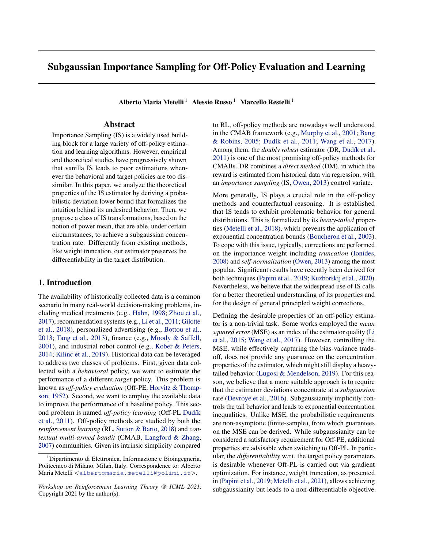# Subgaussian Importance Sampling for Off-Policy Evaluation and Learning

Alberto Maria Metelli<sup>1</sup> Alessio Russo<sup>1</sup> Marcello Restelli<sup>1</sup>

### Abstract

Importance Sampling (IS) is a widely used building block for a large variety of off-policy estimation and learning algorithms. However, empirical and theoretical studies have progressively shown that vanilla IS leads to poor estimations whenever the behavioral and target policies are too dissimilar. In this paper, we analyze the theoretical properties of the IS estimator by deriving a probabilistic deviation lower bound that formalizes the intuition behind its undesired behavior. Then, we propose a class of IS transformations, based on the notion of power mean, that are able, under certain circumstances, to achieve a subgaussian concentration rate. Differently from existing methods, like weight truncation, our estimator preserves the differentiability in the target distribution.

# 1. Introduction

The availability of historically collected data is a common scenario in many real-world decision-making problems, including medical treatments (e.g., [Hahn,](#page-4-0) [1998;](#page-4-0) [Zhou et al.,](#page-6-0) [2017\)](#page-6-0), recommendation systems (e.g., [Li et al.,](#page-5-0) [2011;](#page-5-0) [Gilotte](#page-4-0) [et al.,](#page-4-0) [2018\)](#page-4-0), personalized advertising (e.g., [Bottou et al.,](#page-4-0) [2013;](#page-4-0) [Tang et al.,](#page-6-0) [2013\)](#page-6-0), finance (e.g., [Moody & Saffell,](#page-5-0) [2001\)](#page-5-0), and industrial robot control (e.g., [Kober & Peters,](#page-5-0) [2014;](#page-5-0) [Kilinc et al.,](#page-5-0) [2019\)](#page-5-0). Historical data can be leveraged to address two classes of problems. First, given data collected with a *behavioral* policy, we want to estimate the performance of a different *target* policy. This problem is known as *off-policy evaluation* (Off-PE, [Horvitz & Thomp](#page-4-0)[son,](#page-4-0) [1952\)](#page-4-0). Second, we want to employ the available data to improve the performance of a baseline policy. This second problem is named *off-policy learning* (Off-PL [Dud´ık](#page-4-0) [et al.,](#page-4-0) [2011\)](#page-4-0). Off-policy methods are studied by both the *reinforcement learning* (RL, [Sutton & Barto,](#page-6-0) [2018\)](#page-6-0) and *contextual multi-armed bandit* (CMAB, [Langford & Zhang,](#page-5-0) [2007\)](#page-5-0) communities. Given its intrinsic simplicity compared

to RL, off-policy methods are nowadays well understood in the CMAB framework (e.g., [Murphy et al.,](#page-5-0) [2001;](#page-5-0) [Bang](#page-4-0) [& Robins,](#page-4-0) [2005;](#page-4-0) Dudík et al., [2011;](#page-4-0) [Wang et al.,](#page-6-0) [2017\)](#page-6-0). Among them, the *doubly robust* estimator (DR, Dudík et al., [2011\)](#page-4-0) is one of the most promising off-policy methods for CMABs. DR combines a *direct method* (DM), in which the reward is estimated from historical data via regression, with an *importance sampling* (IS, [Owen,](#page-5-0) [2013\)](#page-5-0) control variate.

More generally, IS plays a crucial role in the off-policy methods and counterfactual reasoning. It is established that IS tends to exhibit problematic behavior for general distributions. This is formalized by its *heavy-tailed* properties [\(Metelli et al.,](#page-5-0) [2018\)](#page-5-0), which prevents the application of exponential concentration bounds [\(Boucheron et al.,](#page-4-0) [2003\)](#page-4-0). To cope with this issue, typically, corrections are performed on the importance weight including *truncation* [\(Ionides,](#page-4-0) [2008\)](#page-4-0) and *self-normalization* [\(Owen,](#page-5-0) [2013\)](#page-5-0) among the most popular. Significant results have recently been derived for both techniques [\(Papini et al.,](#page-6-0) [2019;](#page-6-0) [Kuzborskij et al.,](#page-5-0) [2020\)](#page-5-0). Nevertheless, we believe that the widespread use of IS calls for a better theoretical understanding of its properties and for the design of general principled weight corrections.

Defining the desirable properties of an off-policy estimator is a non-trivial task. Some works employed the *mean squared error* (MSE) as an index of the estimator quality [\(Li](#page-5-0) [et al.,](#page-5-0) [2015;](#page-5-0) [Wang et al.,](#page-6-0) [2017\)](#page-6-0). However, controlling the MSE, while effectively capturing the bias-variance tradeoff, does not provide any guarantee on the concentration properties of the estimator, which might still display a heavytailed behavior [\(Lugosi & Mendelson,](#page-5-0) [2019\)](#page-5-0). For this reason, we believe that a more suitable approach is to require that the estimator deviations concentrate at a *subgaussian* rate [\(Devroye et al.,](#page-4-0) [2016\)](#page-4-0). Subgaussianity implicitly controls the tail behavior and leads to exponential concentration inequalities. Unlike MSE, the probabilistic requirements are non-asymptotic (finite-sample), from which guarantees on the MSE can be derived. While subgaussianity can be considered a satisfactory requirement for Off-PE, additional properties are advisable when switching to Off-PL. In particular, the *differentiability* w.r.t. the target policy parameters is desirable whenever Off-PL is carried out via gradient optimization. For instance, weight truncation, as presented in [\(Papini et al.,](#page-6-0) [2019;](#page-6-0) [Metelli et al.,](#page-5-0) [2021\)](#page-5-0), allows achieving subgaussianity but leads to a non-differentiable objective.

<sup>&</sup>lt;sup>1</sup>Dipartimento di Elettronica, Informazione e Bioingegneria, Politecnico di Milano, Milan, Italy. Correspondence to: Alberto Maria Metelli <[albertomaria.metelli@polimi.it](mailto:albertomaria.metelli@polimi.it)>.

*Workshop on Reinforcement Learning Theory @ ICML 2021*. Copyright 2021 by the author(s).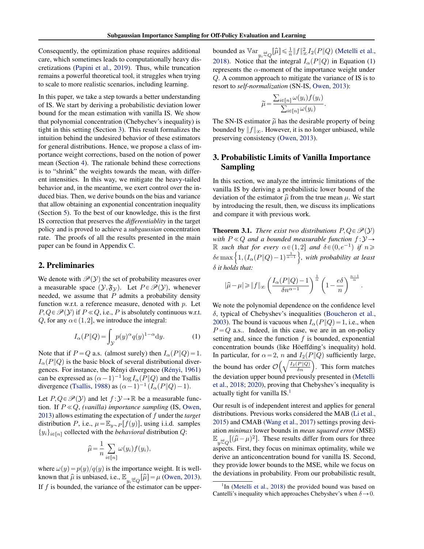<span id="page-1-0"></span>Consequently, the optimization phase requires additional care, which sometimes leads to computationally heavy discretizations [\(Papini et al.,](#page-6-0) [2019\)](#page-6-0). Thus, while truncation remains a powerful theoretical tool, it struggles when trying to scale to more realistic scenarios, including learning.

In this paper, we take a step towards a better understanding of IS. We start by deriving a probabilistic deviation lower bound for the mean estimation with vanilla IS. We show that polynomial concentration (Chebychev's inequality) is tight in this setting (Section 3). This result formalizes the intuition behind the undesired behavior of these estimators for general distributions. Hence, we propose a class of importance weight corrections, based on the notion of power mean (Section [4\)](#page-2-0). The rationale behind these corrections is to "shrink" the weights towards the mean, with different intensities. In this way, we mitigate the heavy-tailed behavior and, in the meantime, we exert control over the induced bias. Then, we derive bounds on the bias and variance that allow obtaining an exponential concentration inequality (Section [5\)](#page-2-0). To the best of our knowledge, this is the first IS correction that preserves the *differentiablity* in the target policy and is proved to achieve a *subgaussian* concentration rate. The proofs of all the results presented in the main paper can be found in Appendix [C.](#page-8-0)

# 2. Preliminaries

We denote with  $\mathcal{P}(y)$  the set of probability measures over a measurable space  $(\mathcal{Y}, \mathfrak{F}_{\mathcal{Y}})$ . Let  $P \in \mathcal{P}(\mathcal{Y})$ , whenever needed, we assume that  $P$  admits a probability density function w.r.t. a reference measure, denoted with p. Let  $P, Q \in \mathcal{P}(y)$  if  $P \ll Q$ , i.e., P is absolutely continuous w.r.t. Q, for any  $\alpha \in (1,2]$ , we introduce the integral:

$$
I_{\alpha}(P||Q) = \int_{\mathcal{Y}} p(y)^{\alpha} q(y)^{1-\alpha} dy.
$$
 (1)

Note that if  $P = Q$  a.s. (almost surely) then  $I_{\alpha}(P||Q) = 1$ .  $I_{\alpha}(P\|Q)$  is the basic block of several distributional diver-gences. For instance, the Rényi divergence (Rényi, [1961\)](#page-6-0) can be expressed as  $(\alpha - 1)^{-1} \log I_{\alpha}(P \| Q)$  and the Tsallis divergence [\(Tsallis,](#page-6-0) [1988\)](#page-6-0) as  $(\alpha - 1)^{-1} (I_{\alpha}(P \| Q) - 1)$ .

Let  $P, Q \in \mathcal{P}(Y)$  and let  $f : Y \to \mathbb{R}$  be a measurable function. If  $P \ll Q$ , *(vanilla) importance sampling* (IS, [Owen,](#page-5-0) [2013\)](#page-5-0) allows estimating the expectation of f under the *target* distribution P, i.e.,  $\mu = \mathbb{E}_{y \sim P}[f(y)]$ , using i.i.d. samples  $\{y_i\}_{i \in [n]}$  collected with the *behavioral* distribution Q:

$$
\widehat{\mu} = \frac{1}{n} \sum_{i \in [n]} \omega(y_i) f(y_i),
$$

where  $\omega(y) = p(y)/q(y)$  is the importance weight. It is wellknown that  $\hat{\mu}$  is unbiased, i.e.,  $\mathbb{E}_{y_i \stackrel{\text{ind}}{\sim} Q} [\hat{\mu}] = \mu$  [\(Owen,](#page-5-0) [2013\)](#page-5-0). If  $f$  is bounded, the variance of the estimator can be upper-

bounded as  $\mathbb{V}\ar _{y_i \overset{\text{iid}}{\sim} Q}[\widehat{\mu}] \leq \frac{1}{n} \|f\|_{\infty}^2 I_2(P\|Q)$  [\(Metelli et al.,](#page-5-0) [2018\)](#page-5-0). Notice that the integral  $I_{\alpha}(P||Q)$  in Equation (1) represents the  $\alpha$ -moment of the importance weight under Q. A common approach to mitigate the variance of IS is to resort to *self-normalization* (SN-IS, [Owen,](#page-5-0) [2013\)](#page-5-0): ř

$$
\widetilde{\mu} = \frac{\sum_{i \in [n]} \omega(y_i) f(y_i)}{\sum_{i \in [n]} \omega(y_i)}
$$

.

The SN-IS estimator  $\tilde{\mu}$  has the desirable property of being bounded by  $||f||_{\infty}$ . However, it is no longer unbiased, while preserving consistency [\(Owen,](#page-5-0) [2013\)](#page-5-0).

# 3. Probabilistic Limits of Vanilla Importance Sampling

In this section, we analyze the intrinsic limitations of the vanilla IS by deriving a probabilistic lower bound of the deviation of the estimator  $\hat{\mu}$  from the true mean  $\mu$ . We start by introducing the result, then, we discuss its implications and compare it with previous work.

**Theorem 3.1.** *There exist two distributions*  $P, Q \in \mathcal{P}(y)$ *with*  $P \ll Q$  *and a bounded measurable function*  $f : Y \rightarrow$ R such that for every  $\alpha \in (1,2]$  and  $\delta \in (0,e^{-1})$  if  $n \geqslant$  $\mathbb R$  such that for every  $\alpha \in (1,2]$  and  $\delta \in (0,e^{-1})$  if  $n \geq 0$ <br> $\delta$ emax $\left\{1, (I_\alpha(P||Q) - 1)^{\frac{1}{\alpha - 1}}\right\}$ , with probability at least δ *it holds that:*

$$
|\widehat{\mu}-\mu|\geqslant \|f\|_{\infty} \left(\frac{I_{\alpha}(P\|Q)-1}{\delta n^{\alpha-1}}\right)^{\frac{1}{\alpha}}\left(1-\frac{e\delta}{n}\right)^{\frac{n-1}{\alpha}}
$$

.

We note the polynomial dependence on the confidence level δ, typical of Chebyshev's inequalities [\(Boucheron et al.,](#page-4-0) [2003\)](#page-4-0). The bound is vacuous when  $I_{\alpha}(P||Q) = 1$ , i.e., when  $P = Q$  a.s.. Indeed, in this case, we are in an on-policy setting and, since the function  $f$  is bounded, exponential concentration bounds (like Höeffding's inequality) hold. In particular, for  $\alpha = 2$ , n and  $I_2(P||Q)$  sufficiently large, In particular, for  $\alpha = 2$ , *n* and  $I_2(P||Q)$  sumerintly large.<br>the bound has order  $\mathcal{O}\left(\sqrt{\frac{I_2(P||Q)}{\delta n}}\right)$ . This form matches the deviation upper bound previously presented in [\(Metelli](#page-5-0) [et al.,](#page-5-0) [2018;](#page-5-0) [2020\)](#page-5-0), proving that Chebyshev's inequality is actually tight for vanilla  $IS<sup>1</sup>$ .

Our result is of independent interest and applies for general distributions. Previous works considered the MAB [\(Li et al.,](#page-5-0) [2015\)](#page-5-0) and CMAB [\(Wang et al.,](#page-6-0) [2017\)](#page-6-0) settings proving deviation *minimax* lower bounds in *mean squared error* (MSE)  $\mathbb{E}_{y \stackrel{\text{iid}}{\sim} Q}[(\hat{\mu} - \mu)^2]$ . These results differ from ours for three aspects. First, they focus on minimax optimality, while we derive an anticoncentration bound for vanilla IS. Second, they provide lower bounds to the MSE, while we focus on the deviations in probability. From our probabilistic result,

<sup>&</sup>lt;sup>1</sup>In [\(Metelli et al.,](#page-5-0) [2018\)](#page-5-0) the provided bound was based on Cantelli's inequality which approaches Chebyshev's when  $\delta \rightarrow 0$ .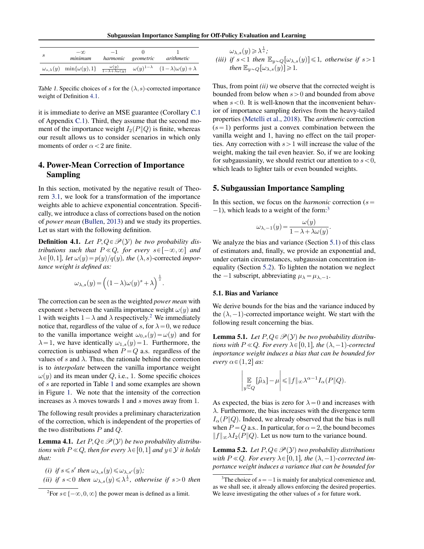Subgaussian Importance Sampling for Off-Policy Evaluation and Learning

<span id="page-2-0"></span>

| S | $-\infty$<br>minimum                          | $-1$<br>harmonic geometric                     | arithmetic                                             |
|---|-----------------------------------------------|------------------------------------------------|--------------------------------------------------------|
|   | $\omega_{s,\lambda}(y)$ min $\{\omega(y),1\}$ | $\frac{\omega(y)}{1-\lambda+\lambda\omega(y)}$ | $\omega(y)^{1-\lambda}$ $(1-\lambda)\omega(y)+\lambda$ |

Table 1. Specific choices of s for the  $(\lambda, s)$ -corrected importance weight of Definition 4.1.

it is immediate to derive an MSE guarantee (Corollary [C.1](#page-10-0) of Appendix [C.1\)](#page-8-0). Third, they assume that the second moment of the importance weight  $I_2(P||Q)$  is finite, whereas our result allows us to consider scenarios in which only moments of order  $\alpha$  < 2 are finite.

# 4. Power-Mean Correction of Importance Sampling

In this section, motivated by the negative result of Theorem [3.1,](#page-1-0) we look for a transformation of the importance weights able to achieve exponential concentration. Specifically, we introduce a class of corrections based on the notion of *power mean* [\(Bullen,](#page-4-0) [2013\)](#page-4-0) and we study its properties. Let us start with the following definition.

**Definition 4.1.** Let  $P, Q \in \mathcal{P}(Y)$  be two probability dis*tributions such that*  $P \ll Q$ *, for every*  $s \in [-\infty, \infty]$  *and*  $\lambda \in [0,1]$ , let  $\omega(y) = p(y)/q(y)$ , the  $(\lambda, s)$ -corrected *importance weight is defined as:*

$$
\omega_{\lambda,s}(y) = \left( (1-\lambda) \omega(y)^s + \lambda \right)^{\frac{1}{s}}.
$$

The correction can be seen as the weighted *power mean* with exponent s between the vanilla importance weight  $\omega(y)$  and 1 with weights  $1 - \lambda$  and  $\lambda$  respectively.<sup>2</sup> We immediately notice that, regardless of the value of s, for  $\lambda = 0$ , we reduce to the vanilla importance weight  $\omega_{0,s}(y) = \omega(y)$  and for  $\lambda = 1$ , we have identically  $\omega_{1,s}(y) = 1$ . Furthermore, the correction is unbiased when  $P = Q$  a.s. regardless of the values of s and  $\lambda$ . Thus, the rationale behind the correction is to *interpolate* between the vanilla importance weight  $\omega(y)$  and its mean under Q, i.e., 1. Some specific choices of s are reported in Table 1 and some examples are shown in Figure [1.](#page-3-0) We note that the intensity of the correction increases as  $\lambda$  moves towards 1 and s moves away from 1.

The following result provides a preliminary characterization of the correction, which is independent of the properties of the two distributions  $P$  and  $Q$ .

**Lemma 4.1.** Let  $P, Q \in \mathcal{P}(Y)$  be two probability distribu*tions with*  $P \ll Q$ *, then for every*  $\lambda \in [0,1]$  *and*  $y \in Y$  *it holds that:*

- *(i) if*  $s \le s'$  *then*  $\omega_{\lambda,s}(y) \le \omega_{\lambda,s'}(y)$ *;*
- *(ii) if*  $s < 0$  *then*  $\omega_{\lambda,s}(y) \leq \lambda^{\frac{1}{s}}$ *, otherwise if*  $s > 0$  *then*

$$
\omega_{\lambda,s}(y) \ge \lambda^{\frac{1}{s}};
$$
  
(iii) if  $s < 1$  then  $\mathbb{E}_{y \sim Q}[\omega_{\lambda,s}(y)] \le 1$ , otherwise if  $s > 1$   
then  $\mathbb{E}_{y \sim Q}[\omega_{\lambda,s}(y)] \ge 1$ .

Thus, from point *(ii)* we observe that the corrected weight is bounded from below when  $s > 0$  and bounded from above when  $s < 0$ . It is well-known that the inconvenient behavior of importance sampling derives from the heavy-tailed properties [\(Metelli et al.,](#page-5-0) [2018\)](#page-5-0). The *arithmetic* correction  $(s=1)$  performs just a convex combination between the vanilla weight and 1, having no effect on the tail properties. Any correction with  $s>1$  will increase the value of the weight, making the tail even heavier. So, if we are looking for subgaussianity, we should restrict our attention to  $s < 0$ , which leads to lighter tails or even bounded weights.

# 5. Subgaussian Importance Sampling

In this section, we focus on the *harmonic* correction  $(s =$  $-1$ ), which leads to a weight of the form:<sup>3</sup>

$$
\omega_{\lambda,-1}(y) = \frac{\omega(y)}{1 - \lambda + \lambda \omega(y)}.
$$

We analyze the bias and variance (Section 5.1) of this class of estimators and, finally, we provide an exponential and, under certain circumstances, subgaussian concentration inequality (Section [5.2\)](#page-3-0). To lighten the notation we neglect the  $-1$  subscript, abbreviating  $\mu_{\lambda} = \mu_{\lambda,-1}$ .

### 5.1. Bias and Variance

We derive bounds for the bias and the variance induced by the  $(\lambda, -1)$ -corrected importance weight. We start with the following result concerning the bias.

**Lemma 5.1.** Let  $P, Q \in \mathcal{P}(Y)$  be two probability distribu*tions with*  $P \ll Q$ *. For every*  $\lambda \in [0,1]$ *, the*  $(\lambda, -1)$ *-corrected importance weight induces a bias that can be bounded for*  $every \alpha \in (1,2]$  *as*:

$$
\left|\mathop{\mathbb{E}}_{y\overset{iid}{\sim}Q}[\widehat{\mu}_\lambda]-\mu\right|\leqslant \|f\|_\infty\lambda^{\alpha-1}I_\alpha(P\|Q).
$$

As expected, the bias is zero for  $\lambda = 0$  and increases with  $\lambda$ . Furthermore, the bias increases with the divergence term  $I_{\alpha}(P\|Q)$ . Indeed, we already observed that the bias is null when  $P = Q$  a.s.. In particular, for  $\alpha = 2$ , the bound becomes  $||f||_{\infty} \lambda I_2(P||Q)$ . Let us now turn to the variance bound.

**Lemma 5.2.** *Let*  $P, Q \in \mathcal{P}(Y)$  *two probability distributions with*  $P \ll Q$ *. For every*  $\lambda \in [0,1]$ *, the*  $(\lambda, -1)$ *-corrected importance weight induces a variance that can be bounded for*

<sup>&</sup>lt;sup>2</sup>For  $s \in \{-\infty, 0, \infty\}$  the power mean is defined as a limit.

<sup>&</sup>lt;sup>3</sup>The choice of  $s = -1$  is mainly for analytical convenience and, as we shall see, it already allows enforcing the desired properties. We leave investigating the other values of s for future work.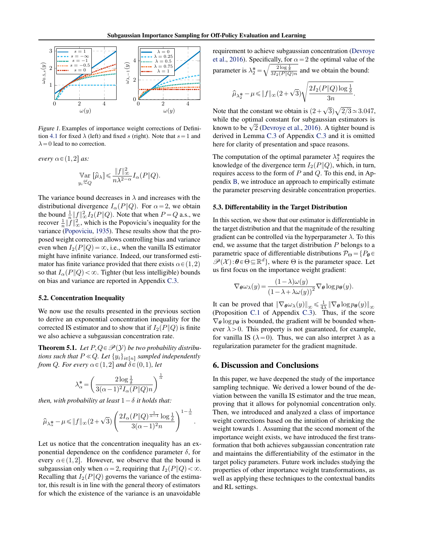<span id="page-3-0"></span>

Figure 1. Examples of importance weight corrections of Defini-tion [4.1](#page-2-0) for fixed  $\lambda$  (left) and fixed s (right). Note that  $s = 1$  and  $\lambda = 0$  lead to no correction.

*every*  $\alpha \in (1,2]$  *as:* 

$$
\operatorname*{Var}_{y_i \stackrel{iid}{\sim} Q} [\widehat{\mu}_{\lambda}] \le \frac{\|f\|_{\infty}^2}{n \lambda^{2-\alpha}} I_{\alpha}(P \| Q).
$$

The variance bound decreases in  $\lambda$  and increases with the distributional divergence  $I_{\alpha}(P||Q)$ . For  $\alpha = 2$ , we obtain the bound  $\frac{1}{n} ||f||_{\infty}^2 I_2(P||Q)$ . Note that when  $P = Q$  a.s., we recover  $\frac{1}{n} \|\hat{f}\|^2_{\infty}$ , which is the Popoviciu's inequality for the variance [\(Popoviciu,](#page-6-0) [1935\)](#page-6-0). These results show that the proposed weight correction allows controlling bias and variance even when  $I_2(P||Q) = \infty$ , i.e., when the vanilla IS estimator might have infinite variance. Indeed, our transformed estimator has finite variance provided that there exists  $\alpha \in (1,2)$ so that  $I_{\alpha}(P\|Q) < \infty$ . Tighter (but less intelligible) bounds on bias and variance are reported in Appendix [C.3.](#page-10-0)

### 5.2. Concentration Inequality

We now use the results presented in the previous section to derive an exponential concentration inequality for the corrected IS estimator and to show that if  $I_2(P||Q)$  is finite we also achieve a subgaussian concentration rate.

**Theorem 5.1.** Let  $P, Q \in \mathcal{P}(Y)$  be two probability distribu*tions such that*  $P \ll Q$ *. Let*  $\{y_i\}_{i \in [n]}$  *sampled independently from Q. For every*  $\alpha \in (1,2]$  *and*  $\delta \in (0,1)$ *, let* 

$$
\lambda_\alpha^*\!=\!\left(\frac{2\log\frac{1}{\delta}}{3(\alpha\!-\!1)^2I_\alpha(P\|Q)n}\right)^{\frac{1}{\alpha}}
$$

*then, with probability at least*  $1 - \delta$  *it holds that:* 

$$
\widehat{\mu}_{\lambda^{\textstyle *}_\alpha}-\mu \leqslant \|f\|_\infty(2+\sqrt{3})\left(\frac{2I_\alpha(P\|Q)^{\frac{1}{\alpha-1}}\log\frac{1}{\delta}}{3(\alpha-1)^2n}\right)^{1-\frac{1}{\alpha}}.
$$

Let us notice that the concentration inequality has an exponential dependence on the confidence parameter  $\delta$ , for every  $\alpha \in (1,2]$ . However, we observe that the bound is subgaussian only when  $\alpha = 2$ , requiring that  $I_2(P||Q) < \infty$ . Recalling that  $I_2(P||Q)$  governs the variance of the estimator, this result is in line with the general theory of estimators for which the existence of the variance is an unavoidable

requirement to achieve subgaussian concentration [\(Devroye](#page-4-0) [et al.,](#page-4-0) [2016\)](#page-4-0). Specifically, for  $\alpha = 2$  the optimal value of the parameter is  $\lambda_2^* = \sqrt{\frac{2 \log \frac{1}{\delta}}{3I_2(P||Q)n}}$  and we obtain the bound:

$$
\widehat{\mu}_{\lambda_2^*} - \mu \le \|f\|_{\infty} (2 + \sqrt{3}) \sqrt{\frac{2I_2(P\|Q)\log\frac{1}{\delta}}{3n}}.
$$

Note that the constant we obtain is  $(2+\sqrt{3})$  $2/3 \approx 3.047$ , while the optimal constant for subgaussian estimators is while the optimal constant for subgaussian estimators is<br>known to be  $\sqrt{2}$  [\(Devroye et al.,](#page-4-0) [2016\)](#page-4-0). A tighter bound is derived in Lemma [C.3](#page-12-0) of Appendix [C.3](#page-10-0) and it is omitted here for clarity of presentation and space reasons.

The computation of the optimal parameter  $\lambda_2^*$  requires the knowledge of the divergence term  $I_2(P||Q)$ , which, in turn, requires access to the form of  $P$  and  $Q$ . To this end, in Appendix [B,](#page-7-0) we introduce an approach to empirically estimate the parameter preserving desirable concentration properties.

### 5.3. Differentability in the Target Distribution

In this section, we show that our estimator is differentiable in the target distribution and that the magnitude of the resulting gradient can be controlled via the hyperparameter  $\lambda$ . To this end, we assume that the target distribution P belongs to a parametric space of differentiable distributions  $\mathcal{P}_{\Theta} = \{P_{\theta} \in \Theta\}$  $\mathscr{P}(\mathcal{X})$ : $\theta \in \Theta \subseteq \mathbb{R}^d$ , where  $\Theta$  is the parameter space. Let us first focus on the importance weight gradient:

$$
\nabla_{\theta} \omega_{\lambda}(y) = \frac{(1 - \lambda)\omega(y)}{(1 - \lambda + \lambda \omega(y))^2} \nabla_{\theta} \log p_{\theta}(y).
$$

It can be proved that  $\|\nabla_{\theta}\omega_{\lambda}(y)\|_{\infty} \leq \frac{1}{4\lambda} \|\nabla_{\theta}\log p_{\theta}(y)\|_{\infty}$ (Proposition [C.1](#page-13-0) of Appendix [C.3\)](#page-10-0). Thus, if the score  $\nabla_{\theta}$  log  $p_{\theta}$  is bounded, the gradient will be bounded whenever  $\lambda > 0$ . This property is not guaranteed, for example, for vanilla IS ( $\lambda = 0$ ). Thus, we can also interpret  $\lambda$  as a regularization parameter for the gradient magnitude.

### 6. Discussion and Conclusions

In this paper, we have deepened the study of the importance sampling technique. We derived a lower bound of the deviation between the vanilla IS estimator and the true mean, proving that it allows for polynomial concentration only. Then, we introduced and analyzed a class of importance weight corrections based on the intuition of shrinking the weight towards 1. Assuming that the second moment of the importance weight exists, we have introduced the first transformation that both achieves subgaussian concentration rate and maintains the differentiability of the estimator in the target policy parameters. Future work includes studying the properties of other importance weight transformations, as well as applying these techniques to the contextual bandits and RL settings.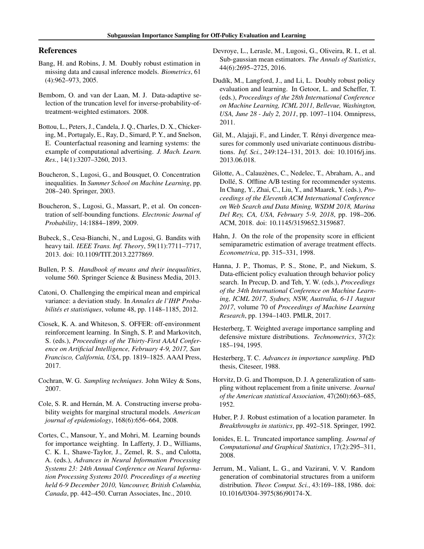# <span id="page-4-0"></span>References

- Bang, H. and Robins, J. M. Doubly robust estimation in missing data and causal inference models. *Biometrics*, 61 (4):962–973, 2005.
- Bembom, O. and van der Laan, M. J. Data-adaptive selection of the truncation level for inverse-probability-oftreatment-weighted estimators. 2008.
- Bottou, L., Peters, J., Candela, J. Q., Charles, D. X., Chickering, M., Portugaly, E., Ray, D., Simard, P. Y., and Snelson, E. Counterfactual reasoning and learning systems: the example of computational advertising. *J. Mach. Learn. Res.*, 14(1):3207–3260, 2013.
- Boucheron, S., Lugosi, G., and Bousquet, O. Concentration inequalities. In *Summer School on Machine Learning*, pp. 208–240. Springer, 2003.
- Boucheron, S., Lugosi, G., Massart, P., et al. On concentration of self-bounding functions. *Electronic Journal of Probability*, 14:1884–1899, 2009.
- Bubeck, S., Cesa-Bianchi, N., and Lugosi, G. Bandits with heavy tail. *IEEE Trans. Inf. Theory*, 59(11):7711–7717, 2013. doi: 10.1109/TIT.2013.2277869.
- Bullen, P. S. *Handbook of means and their inequalities*, volume 560. Springer Science & Business Media, 2013.
- Catoni, O. Challenging the empirical mean and empirical variance: a deviation study. In *Annales de l'IHP Probabilites et statistiques ´* , volume 48, pp. 1148–1185, 2012.
- Ciosek, K. A. and Whiteson, S. OFFER: off-environment reinforcement learning. In Singh, S. P. and Markovitch, S. (eds.), *Proceedings of the Thirty-First AAAI Conference on Artificial Intelligence, February 4-9, 2017, San Francisco, California, USA*, pp. 1819–1825. AAAI Press, 2017.
- Cochran, W. G. *Sampling techniques*. John Wiley & Sons, 2007.
- Cole, S. R. and Hernán, M. A. Constructing inverse probability weights for marginal structural models. *American journal of epidemiology*, 168(6):656–664, 2008.
- Cortes, C., Mansour, Y., and Mohri, M. Learning bounds for importance weighting. In Lafferty, J. D., Williams, C. K. I., Shawe-Taylor, J., Zemel, R. S., and Culotta, A. (eds.), *Advances in Neural Information Processing Systems 23: 24th Annual Conference on Neural Information Processing Systems 2010. Proceedings of a meeting held 6-9 December 2010, Vancouver, British Columbia, Canada*, pp. 442–450. Curran Associates, Inc., 2010.
- Devroye, L., Lerasle, M., Lugosi, G., Oliveira, R. I., et al. Sub-gaussian mean estimators. *The Annals of Statistics*, 44(6):2695–2725, 2016.
- Dudík, M., Langford, J., and Li, L. Doubly robust policy evaluation and learning. In Getoor, L. and Scheffer, T. (eds.), *Proceedings of the 28th International Conference on Machine Learning, ICML 2011, Bellevue, Washington, USA, June 28 - July 2, 2011*, pp. 1097–1104. Omnipress, 2011.
- Gil, M., Alajaji, F., and Linder, T. Rényi divergence measures for commonly used univariate continuous distributions. *Inf. Sci.*, 249:124–131, 2013. doi: 10.1016/j.ins. 2013.06.018.
- Gilotte, A., Calauzènes, C., Nedelec, T., Abraham, A., and Dollé, S. Offline A/B testing for recommender systems. In Chang, Y., Zhai, C., Liu, Y., and Maarek, Y. (eds.), *Proceedings of the Eleventh ACM International Conference on Web Search and Data Mining, WSDM 2018, Marina Del Rey, CA, USA, February 5-9, 2018*, pp. 198–206. ACM, 2018. doi: 10.1145/3159652.3159687.
- Hahn, J. On the role of the propensity score in efficient semiparametric estimation of average treatment effects. *Econometrica*, pp. 315–331, 1998.
- Hanna, J. P., Thomas, P. S., Stone, P., and Niekum, S. Data-efficient policy evaluation through behavior policy search. In Precup, D. and Teh, Y. W. (eds.), *Proceedings of the 34th International Conference on Machine Learning, ICML 2017, Sydney, NSW, Australia, 6-11 August 2017*, volume 70 of *Proceedings of Machine Learning Research*, pp. 1394–1403. PMLR, 2017.
- Hesterberg, T. Weighted average importance sampling and defensive mixture distributions. *Technometrics*, 37(2): 185–194, 1995.
- Hesterberg, T. C. *Advances in importance sampling*. PhD thesis, Citeseer, 1988.
- Horvitz, D. G. and Thompson, D. J. A generalization of sampling without replacement from a finite universe. *Journal of the American statistical Association*, 47(260):663–685, 1952.
- Huber, P. J. Robust estimation of a location parameter. In *Breakthroughs in statistics*, pp. 492–518. Springer, 1992.
- Ionides, E. L. Truncated importance sampling. *Journal of Computational and Graphical Statistics*, 17(2):295–311, 2008.
- Jerrum, M., Valiant, L. G., and Vazirani, V. V. Random generation of combinatorial structures from a uniform distribution. *Theor. Comput. Sci.*, 43:169–188, 1986. doi: 10.1016/0304-3975(86)90174-X.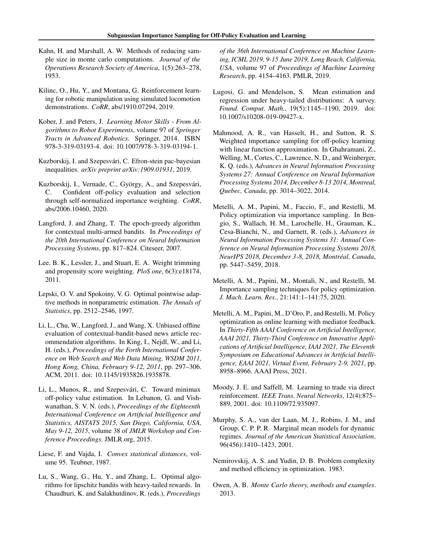- <span id="page-5-0"></span>Kahn, H. and Marshall, A. W. Methods of reducing sample size in monte carlo computations. *Journal of the Operations Research Society of America*, 1(5):263–278, 1953.
- Kilinc, O., Hu, Y., and Montana, G. Reinforcement learning for robotic manipulation using simulated locomotion demonstrations. *CoRR*, abs/1910.07294, 2019.
- Kober, J. and Peters, J. *Learning Motor Skills From Algorithms to Robot Experiments*, volume 97 of *Springer Tracts in Advanced Robotics*. Springer, 2014. ISBN 978-3-319-03193-4. doi: 10.1007/978-3-319-03194-1.
- Kuzborskij, I. and Szepesvári, C. Efron-stein pac-bayesian inequalities. *arXiv preprint arXiv:1909.01931*, 2019.
- Kuzborskij, I., Vernade, C., György, A., and Szepesvári, C. Confident off-policy evaluation and selection through self-normalized importance weighting. *CoRR*, abs/2006.10460, 2020.
- Langford, J. and Zhang, T. The epoch-greedy algorithm for contextual multi-armed bandits. In *Proceedings of the 20th International Conference on Neural Information Processing Systems*, pp. 817–824. Citeseer, 2007.
- Lee, B. K., Lessler, J., and Stuart, E. A. Weight trimming and propensity score weighting. *PloS one*, 6(3):e18174, 2011.
- Lepski, O. V. and Spokoiny, V. G. Optimal pointwise adaptive methods in nonparametric estimation. *The Annals of Statistics*, pp. 2512–2546, 1997.
- Li, L., Chu, W., Langford, J., and Wang, X. Unbiased offline evaluation of contextual-bandit-based news article recommendation algorithms. In King, I., Nejdl, W., and Li, H. (eds.), *Proceedings of the Forth International Conference on Web Search and Web Data Mining, WSDM 2011, Hong Kong, China, February 9-12, 2011*, pp. 297–306. ACM, 2011. doi: 10.1145/1935826.1935878.
- Li, L., Munos, R., and Szepesvári, C. Toward minimax off-policy value estimation. In Lebanon, G. and Vishwanathan, S. V. N. (eds.), *Proceedings of the Eighteenth International Conference on Artificial Intelligence and Statistics, AISTATS 2015, San Diego, California, USA, May 9-12, 2015*, volume 38 of *JMLR Workshop and Conference Proceedings*. JMLR.org, 2015.
- Liese, F. and Vajda, I. *Convex statistical distances*, volume 95. Teubner, 1987.
- Lu, S., Wang, G., Hu, Y., and Zhang, L. Optimal algorithms for lipschitz bandits with heavy-tailed rewards. In Chaudhuri, K. and Salakhutdinov, R. (eds.), *Proceedings*

*of the 36th International Conference on Machine Learning, ICML 2019, 9-15 June 2019, Long Beach, California, USA*, volume 97 of *Proceedings of Machine Learning Research*, pp. 4154–4163. PMLR, 2019.

- Lugosi, G. and Mendelson, S. Mean estimation and regression under heavy-tailed distributions: A survey. *Found. Comput. Math.*, 19(5):1145–1190, 2019. doi: 10.1007/s10208-019-09427-x.
- Mahmood, A. R., van Hasselt, H., and Sutton, R. S. Weighted importance sampling for off-policy learning with linear function approximation. In Ghahramani, Z., Welling, M., Cortes, C., Lawrence, N. D., and Weinberger, K. Q. (eds.), *Advances in Neural Information Processing Systems 27: Annual Conference on Neural Information Processing Systems 2014, December 8-13 2014, Montreal, Quebec, Canada*, pp. 3014–3022, 2014.
- Metelli, A. M., Papini, M., Faccio, F., and Restelli, M. Policy optimization via importance sampling. In Bengio, S., Wallach, H. M., Larochelle, H., Grauman, K., Cesa-Bianchi, N., and Garnett, R. (eds.), *Advances in Neural Information Processing Systems 31: Annual Conference on Neural Information Processing Systems 2018, NeurIPS 2018, December 3-8, 2018, Montreal, Canada ´* , pp. 5447–5459, 2018.
- Metelli, A. M., Papini, M., Montali, N., and Restelli, M. Importance sampling techniques for policy optimization. *J. Mach. Learn. Res.*, 21:141:1–141:75, 2020.
- Metelli, A. M., Papini, M., D'Oro, P., and Restelli, M. Policy optimization as online learning with mediator feedback. In *Thirty-Fifth AAAI Conference on Artificial Intelligence, AAAI 2021, Thirty-Third Conference on Innovative Applications of Artificial Intelligence, IAAI 2021, The Eleventh Symposium on Educational Advances in Artificial Intelligence, EAAI 2021, Virtual Event, February 2-9, 2021*, pp. 8958–8966. AAAI Press, 2021.
- Moody, J. E. and Saffell, M. Learning to trade via direct reinforcement. *IEEE Trans. Neural Networks*, 12(4):875– 889, 2001. doi: 10.1109/72.935097.
- Murphy, S. A., van der Laan, M. J., Robins, J. M., and Group, C. P. P. R. Marginal mean models for dynamic regimes. *Journal of the American Statistical Association*, 96(456):1410–1423, 2001.
- Nemirovskij, A. S. and Yudin, D. B. Problem complexity and method efficiency in optimization. 1983.
- Owen, A. B. *Monte Carlo theory, methods and examples*. 2013.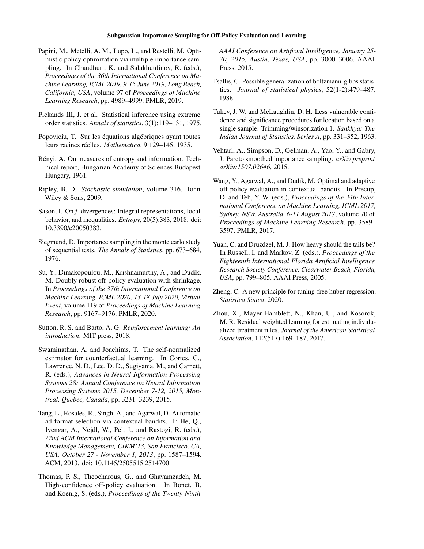- <span id="page-6-0"></span>Papini, M., Metelli, A. M., Lupo, L., and Restelli, M. Optimistic policy optimization via multiple importance sampling. In Chaudhuri, K. and Salakhutdinov, R. (eds.), *Proceedings of the 36th International Conference on Machine Learning, ICML 2019, 9-15 June 2019, Long Beach, California, USA*, volume 97 of *Proceedings of Machine Learning Research*, pp. 4989–4999. PMLR, 2019.
- Pickands III, J. et al. Statistical inference using extreme order statistics. *Annals of statistics*, 3(1):119–131, 1975.
- Popoviciu, T. Sur les équations algébriques ayant toutes leurs racines réelles. Mathematica, 9:129-145, 1935.
- Rényi, A. On measures of entropy and information. Technical report, Hungarian Academy of Sciences Budapest Hungary, 1961.
- Ripley, B. D. *Stochastic simulation*, volume 316. John Wiley & Sons, 2009.
- Sason, I. On *f*-divergences: Integral representations, local behavior, and inequalities. *Entropy*, 20(5):383, 2018. doi: 10.3390/e20050383.
- Siegmund, D. Importance sampling in the monte carlo study of sequential tests. *The Annals of Statistics*, pp. 673–684, 1976.
- Su, Y., Dimakopoulou, M., Krishnamurthy, A., and Dudík, M. Doubly robust off-policy evaluation with shrinkage. In *Proceedings of the 37th International Conference on Machine Learning, ICML 2020, 13-18 July 2020, Virtual Event*, volume 119 of *Proceedings of Machine Learning Research*, pp. 9167–9176. PMLR, 2020.
- Sutton, R. S. and Barto, A. G. *Reinforcement learning: An introduction*. MIT press, 2018.
- Swaminathan, A. and Joachims, T. The self-normalized estimator for counterfactual learning. In Cortes, C., Lawrence, N. D., Lee, D. D., Sugiyama, M., and Garnett, R. (eds.), *Advances in Neural Information Processing Systems 28: Annual Conference on Neural Information Processing Systems 2015, December 7-12, 2015, Montreal, Quebec, Canada*, pp. 3231–3239, 2015.
- Tang, L., Rosales, R., Singh, A., and Agarwal, D. Automatic ad format selection via contextual bandits. In He, Q., Iyengar, A., Nejdl, W., Pei, J., and Rastogi, R. (eds.), *22nd ACM International Conference on Information and Knowledge Management, CIKM'13, San Francisco, CA, USA, October 27 - November 1, 2013*, pp. 1587–1594. ACM, 2013. doi: 10.1145/2505515.2514700.
- Thomas, P. S., Theocharous, G., and Ghavamzadeh, M. High-confidence off-policy evaluation. In Bonet, B. and Koenig, S. (eds.), *Proceedings of the Twenty-Ninth*

*AAAI Conference on Artificial Intelligence, January 25- 30, 2015, Austin, Texas, USA*, pp. 3000–3006. AAAI Press, 2015.

- Tsallis, C. Possible generalization of boltzmann-gibbs statistics. *Journal of statistical physics*, 52(1-2):479–487, 1988.
- Tukey, J. W. and McLaughlin, D. H. Less vulnerable confidence and significance procedures for location based on a single sample: Trimming/winsorization 1. *Sankhyā: The Indian Journal of Statistics, Series A*, pp. 331–352, 1963.
- Vehtari, A., Simpson, D., Gelman, A., Yao, Y., and Gabry, J. Pareto smoothed importance sampling. *arXiv preprint arXiv:1507.02646*, 2015.
- Wang, Y., Agarwal, A., and Dudík, M. Optimal and adaptive off-policy evaluation in contextual bandits. In Precup, D. and Teh, Y. W. (eds.), *Proceedings of the 34th International Conference on Machine Learning, ICML 2017, Sydney, NSW, Australia, 6-11 August 2017*, volume 70 of *Proceedings of Machine Learning Research*, pp. 3589– 3597. PMLR, 2017.
- Yuan, C. and Druzdzel, M. J. How heavy should the tails be? In Russell, I. and Markov, Z. (eds.), *Proceedings of the Eighteenth International Florida Artificial Intelligence Research Society Conference, Clearwater Beach, Florida, USA*, pp. 799–805. AAAI Press, 2005.
- Zheng, C. A new principle for tuning-free huber regression. *Statistica Sinica*, 2020.
- Zhou, X., Mayer-Hamblett, N., Khan, U., and Kosorok, M. R. Residual weighted learning for estimating individualized treatment rules. *Journal of the American Statistical Association*, 112(517):169–187, 2017.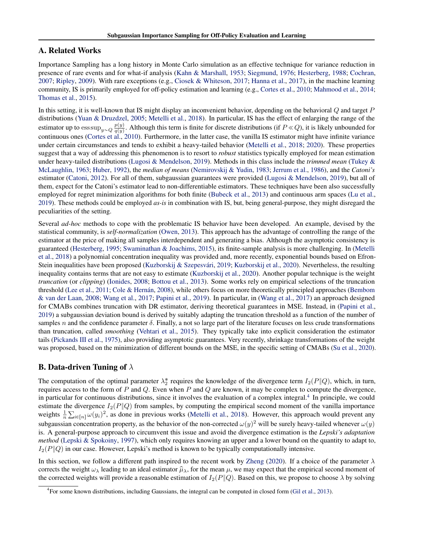# <span id="page-7-0"></span>A. Related Works

Importance Sampling has a long history in Monte Carlo simulation as an effective technique for variance reduction in presence of rare events and for what-if analysis [\(Kahn & Marshall,](#page-5-0) [1953;](#page-5-0) [Siegmund,](#page-6-0) [1976;](#page-6-0) [Hesterberg,](#page-4-0) [1988;](#page-4-0) [Cochran,](#page-4-0) [2007;](#page-4-0) [Ripley,](#page-6-0) [2009\)](#page-6-0). With rare exceptions (e.g., [Ciosek & Whiteson,](#page-4-0) [2017;](#page-4-0) [Hanna et al.,](#page-4-0) [2017\)](#page-4-0), in the machine learning community, IS is primarily employed for off-policy estimation and learning (e.g., [Cortes et al.,](#page-4-0) [2010;](#page-4-0) [Mahmood et al.,](#page-5-0) [2014;](#page-5-0) [Thomas et al.,](#page-6-0) [2015\)](#page-6-0).

In this setting, it is well-known that IS might display an inconvenient behavior, depending on the behavioral Q and target P distributions [\(Yuan & Druzdzel,](#page-6-0) [2005;](#page-6-0) [Metelli et al.,](#page-5-0) [2018\)](#page-5-0). In particular, IS has the effect of enlarging the range of the estimator up to  $\operatorname{ess\,sup}_{y \sim Q} \frac{p(y)}{q(y)}$  $\frac{p(y)}{q(y)}$ . Although this term is finite for discrete distributions (if  $P \ll Q$ ), it is likely unbounded for continuous ones [\(Cortes et al.,](#page-4-0) [2010\)](#page-4-0). Furthermore, in the latter case, the vanilla IS estimator might have infinite variance under certain circumstances and tends to exhibit a heavy-tailed behavior [\(Metelli et al.,](#page-5-0) [2018;](#page-5-0) [2020\)](#page-5-0). These properties suggest that a way of addressing this phenomenon is to resort to *robust* statistics typically employed for mean estimation under heavy-tailed distributions [\(Lugosi & Mendelson,](#page-5-0) [2019\)](#page-5-0). Methods in this class include the *trimmed mean* [\(Tukey &](#page-6-0) [McLaughlin,](#page-6-0) [1963;](#page-6-0) [Huber,](#page-4-0) [1992\)](#page-4-0), the *median of means* [\(Nemirovskij & Yudin,](#page-5-0) [1983;](#page-5-0) [Jerrum et al.,](#page-4-0) [1986\)](#page-4-0), and the *Catoni's* estimator [\(Catoni,](#page-4-0) [2012\)](#page-4-0). For all of them, subgaussian guarantees were provided [\(Lugosi & Mendelson,](#page-5-0) [2019\)](#page-5-0), but all of them, expect for the Catoni's estimator lead to non-differentiable estimators. These techniques have been also successfully employed for regret minimization algorithms for both finite [\(Bubeck et al.,](#page-4-0) [2013\)](#page-4-0) and continuous arm spaces [\(Lu et al.,](#page-5-0) [2019\)](#page-5-0). These methods could be employed *as-is* in combination with IS, but, being general-purpose, they might disregard the peculiarities of the setting.

Several *ad-hoc* methods to cope with the problematic IS behavior have been developed. An example, devised by the statistical community, is *self-normalization* [\(Owen,](#page-5-0) [2013\)](#page-5-0). This approach has the advantage of controlling the range of the estimator at the price of making all samples interdependent and generating a bias. Although the asymptotic consistency is guaranteed [\(Hesterberg,](#page-4-0) [1995;](#page-4-0) [Swaminathan & Joachims,](#page-6-0) [2015\)](#page-6-0), its finite-sample analysis is more challenging. In [\(Metelli](#page-5-0) [et al.,](#page-5-0) [2018\)](#page-5-0) a polynomial concentration inequality was provided and, more recently, exponential bounds based on Efron-Stein inequalities have been proposed (Kuzborskij & Szepesvári, [2019;](#page-5-0) [Kuzborskij et al.,](#page-5-0) [2020\)](#page-5-0). Nevertheless, the resulting inequality contains terms that are not easy to estimate [\(Kuzborskij et al.,](#page-5-0) [2020\)](#page-5-0). Another popular technique is the weight *truncation* (or *clipping*) [\(Ionides,](#page-4-0) [2008;](#page-4-0) [Bottou et al.,](#page-4-0) [2013\)](#page-4-0). Some works rely on empirical selections of the truncation threshold [\(Lee et al.,](#page-5-0) [2011;](#page-5-0) Cole & Hernán, [2008\)](#page-4-0), while others focus on more theoretically principled approaches [\(Bembom](#page-4-0) [& van der Laan,](#page-4-0) [2008;](#page-4-0) [Wang et al.,](#page-6-0) [2017;](#page-6-0) [Papini et al.,](#page-6-0) [2019\)](#page-6-0). In particular, in [\(Wang et al.,](#page-6-0) [2017\)](#page-6-0) an approach designed for CMABs combines truncation with DR estimator, deriving theoretical guarantees in MSE. Instead, in [\(Papini et al.,](#page-6-0) [2019\)](#page-6-0) a subgaussian deviation bound is derived by suitably adapting the truncation threshold as a function of the number of samples n and the confidence parameter  $\delta$ . Finally, a not so large part of the literature focuses on less crude transformations than truncation, called *smoothing* [\(Vehtari et al.,](#page-6-0) [2015\)](#page-6-0). They typically take into explicit consideration the estimator tails [\(Pickands III et al.,](#page-6-0) [1975\)](#page-6-0), also providing asymptotic guarantees. Very recently, shrinkage transformations of the weight was proposed, based on the minimization of different bounds on the MSE, in the specific setting of CMABs [\(Su et al.,](#page-6-0) [2020\)](#page-6-0).

# **B. Data-driven Tuning of**  $\lambda$

The computation of the optimal parameter  $\lambda_2^*$  requires the knowledge of the divergence term  $I_2(P||Q)$ , which, in turn, requires access to the form of P and Q. Even when P and Q are known, it may be complex to compute the divergence, in particular for continuous distributions, since it involves the evaluation of a complex integral.<sup>4</sup> In principle, we could estimate the divergence  $I_2(P||Q)$  from samples, by computing the empirical second moment of the vanilla importance weights  $\frac{1}{n}\sum_{i\in[n]} \omega(y_i)^2$ , as done in previous works [\(Metelli et al.,](#page-5-0) [2018\)](#page-5-0). However, this approach would prevent any subgaussian concentration property, as the behavior of the non-corrected  $\omega(y)^2$  will be surely heavy-tailed whenever  $\omega(y)$ is. A general-purpose approach to circumvent this issue and avoid the divergence estimation is the *Lepski's adaptation method* [\(Lepski & Spokoiny,](#page-5-0) [1997\)](#page-5-0), which only requires knowing an upper and a lower bound on the quantity to adapt to,  $I_2(P||Q)$  in our case. However, Lepski's method is known to be typically computationally intensive.

In this section, we follow a different path inspired to the recent work by [Zheng](#page-6-0) [\(2020\)](#page-6-0). If a choice of the parameter  $\lambda$ corrects the weight  $\omega_{\lambda}$  leading to an ideal estimator  $\hat{\mu}_{\lambda}$ , for the mean  $\mu$ , we may expect that the empirical second moment of the corrected weights will provide a reasonable estimation of  $I_2(P||Q)$ . Based on this, we propose to choose  $\lambda$  by solving

<sup>4</sup> For some known distributions, including Gaussians, the integral can be computed in closed form [\(Gil et al.,](#page-4-0) [2013\)](#page-4-0).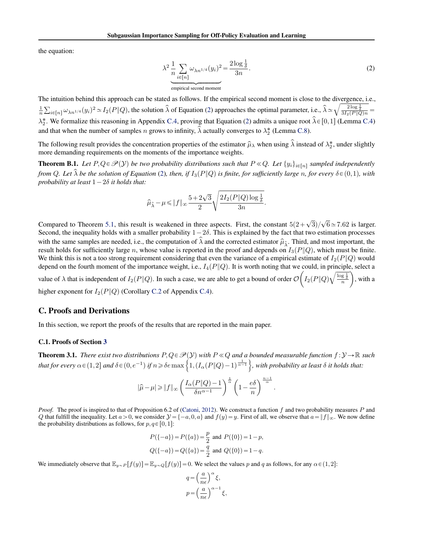<span id="page-8-0"></span>the equation:

$$
\lambda^2 \frac{1}{n} \sum_{i \in [n]} \omega_{\lambda n^{1/4}}(y_i)^2 = \frac{2 \log \frac{1}{\delta}}{3n}.
$$
\n(2)

.

The intuition behind this approach can be stated as follows. If the empirical second moment is close to the divergence, i.e., b  $\frac{1}{n}$ ř  $\hat{\mu}_{\epsilon}[n] \omega_{\lambda n^{1/4}}(y_i)^2 \simeq I_2(P||Q)$ , the solution  $\hat{\lambda}$  of Equation (2) approaches the optimal parameter, i.e.,  $\hat{\lambda} \simeq \sqrt{\frac{2 \log \frac{1}{\delta}}{3 I_2(P||Q)n}}$  $\lambda_2^*$ . We formalize this reasoning in Appendix [C.4,](#page-14-0) proving that Equation (2) admits a unique root  $\hat{\lambda} \in [0,1]$  (Lemma [C.4\)](#page-14-0) and that when the number of samples n grows to infinity,  $\tilde{\lambda}$  actually converges to  $\lambda_2^*$  (Lemma [C.8\)](#page-16-0).

The following result provides the concentration properties of the estimator  $\hat{\mu}_{\lambda}$  when using  $\hat{\lambda}$  instead of  $\lambda_2^*$ , under slightly more demanding requirements on the moments of the importance weights.

**Theorem B.1.** Let  $P, Q \in \mathcal{P}(Y)$  be two probability distributions such that  $P \ll Q$ . Let  $\{y_i\}_{i \in [n]}$  sampled independently *from* Q. Let  $\hat{\lambda}$  be the solution of Equation (2), then, if  $I_3(P||Q)$  is finite, for sufficiently large n, for every  $\delta \in (0,1)$ , with *probability at least*  $1 - 2\delta$  *it holds that:* 

$$
\widehat{\mu}_{\widehat{\lambda}}-\mu \!\leqslant\! \|f\|_{\infty} \frac{5+2\sqrt{3}}{2} \sqrt{\frac{2I_2(P\|Q)\log\frac{1}{\delta}}{3n}}.
$$

Compared to Theorem [5.1,](#page-3-0) this result is weakened in three aspects. First, the constant  $5(2+\sqrt{3})/\sqrt{6} \approx 7.62$  is larger. Second, the inequality holds with a smaller probability  $1-2\delta$ . This is explained by the fact that two estimation processes with the same samples are needed, i.e., the computation of  $\hat{\lambda}$  and the corrected estimator  $\hat{\mu}_{\hat{\lambda}}$ . Third, and most important, the result holds for sufficiently large n, whose value is reported in the proof and depends on  $I_3(P||Q)$ , which must be finite. We think this is not a too strong requirement considering that even the variance of a empirical estimate of  $I_2(P||Q)$  would depend on the fourth moment of the importance weight, i.e.,  $I_4(P||Q)$ . It is worth noting that we could, in principle, select a value of  $\lambda$  that is independent of  $I_2(P\|Q)$ . In such a case, we are able to get a bound of order  $\mathcal{O}\Big(I_2(P\|Q)\sqrt{\frac{\log\frac{1}{\delta}}{n}}\Big)$ , with a higher exponent for  $I_2(P||Q)$  (Corollary [C.2](#page-18-0) of Appendix [C.4\)](#page-14-0).

# C. Proofs and Derivations

In this section, we report the proofs of the results that are reported in the main paper.

### C.1. Proofs of Section [3](#page-1-0)

**Theorem 3.1.** *There exist two distributions*  $P, Q \in \mathcal{P}(Y)$  *with*  $P \ll Q$  *and a bounded measurable function*  $f:Y \to \mathbb{R}$  *such* **Theorem 3.1.** There exist two distributions  $P, Q \in \mathcal{P}(Y)$  with  $P \ll Q$  and a bounded measurable function  $f: Y \to \mathbb{R}$  s<br>that for every  $\alpha \in (1,2]$  and  $\delta \in (0,e^{-1})$  if  $n \geqslant \delta$  emax  $\left\{1,(I_{\alpha}(P\|Q)-1)^{\frac{1}{\alpha-1}}\right\}$ ,

$$
|\widehat{\mu}-\mu|\geqslant \|f\|_{\infty} \left(\frac{I_{\alpha}(P\|Q)-1}{\delta n^{\alpha-1}}\right)^{\frac{1}{\alpha}}\left(1-\frac{e\delta}{n}\right)^{\frac{n-1}{\alpha}}
$$

*Proof.* The proof is inspired to that of Proposition 6.2 of [\(Catoni,](#page-4-0) [2012\)](#page-4-0). We construct a function f and two probability measures P and Q that fulfill the inequality. Let  $a > 0$ , we consider  $\mathcal{Y} = \{-a, 0, a\}$  and  $f(y) = y$ . First of all, we observe that  $a = ||f||_{\infty}$ . We now define the probability distributions as follows, for  $p, q \in [0,1]$ :

$$
P({{-a}}) = P({{a}}) = \frac{p}{2} \text{ and } P({{0}}) = 1-p,
$$
  

$$
Q({{-a}}) = Q({{a}}) = \frac{q}{2} \text{ and } Q({{0}}) = 1-q.
$$

We immediately observe that  $\mathbb{E}_{y\sim P}[f(y)] = \mathbb{E}_{y\sim Q}[f(y)] = 0$ . We select the values p and q as follows, for any  $\alpha \in (1,2]$ :

$$
\begin{split} q=&\left(\frac{a}{n\epsilon}\right)^{\alpha}\xi,\\ p=&\left(\frac{a}{n\epsilon}\right)^{\alpha-1}\xi, \end{split}
$$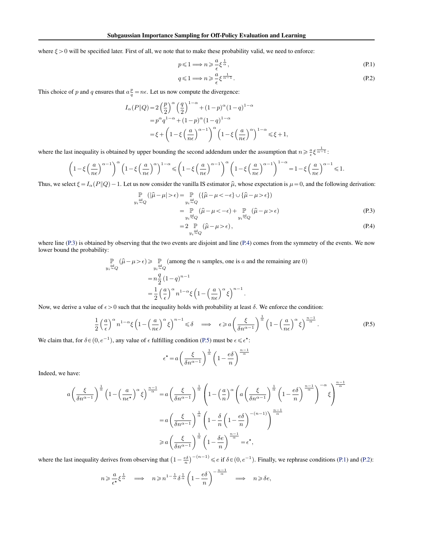<span id="page-9-0"></span>where  $\xi > 0$  will be specified later. First of all, we note that to make these probability valid, we need to enforce:

$$
p \leqslant 1 \Longrightarrow n \geqslant \frac{a}{\epsilon} \xi^{\frac{1}{\alpha}},\tag{P.1}
$$

$$
q \leqslant 1 \Longrightarrow n \geqslant \frac{a}{\epsilon} \xi^{\frac{1}{\alpha - 1}}.
$$
\n(P.2)

This choice of p and q ensures that  $a_q^p = n\epsilon$ . Let us now compute the divergence:

$$
I_{\alpha}(P||Q) = 2\left(\frac{p}{2}\right)^{\alpha} \left(\frac{q}{2}\right)^{1-\alpha} + (1-p)^{\alpha} (1-q)^{1-\alpha}
$$
  
=  $p^{\alpha} q^{1-\alpha} + (1-p)^{\alpha} (1-q)^{1-\alpha}$   
=  $\xi + \left(1 - \xi \left(\frac{a}{n\epsilon}\right)^{\alpha-1}\right)^{\alpha} \left(1 - \xi \left(\frac{a}{n\epsilon}\right)^{\alpha}\right)^{1-\alpha} \le \xi + 1,$ 

where the last inequality is obtained by upper bounding the second addendum under the assumption that  $n \geq \frac{a}{\epsilon} \xi^{\frac{1}{\alpha-1}}$ .

$$
\left(1 - \xi \left(\frac{a}{n\epsilon}\right)^{\alpha - 1}\right)^{\alpha} \left(1 - \xi \left(\frac{a}{n\epsilon}\right)^{\alpha}\right)^{1 - \alpha} \leq \left(1 - \xi \left(\frac{a}{n\epsilon}\right)^{\alpha - 1}\right)^{\alpha} \left(1 - \xi \left(\frac{a}{n\epsilon}\right)^{\alpha - 1}\right)^{1 - \alpha} = 1 - \xi \left(\frac{a}{n\epsilon}\right)^{\alpha - 1} \leq 1.
$$

Thus, we select  $\xi = I_{\alpha}(P||Q) - 1$ . Let us now consider the vanilla IS estimator  $\hat{\mu}$ , whose expectation is  $\mu = 0$ , and the following derivation:

$$
\mathbb{P}_{y_i \stackrel{\text{iid}}{\sim} Q}(|\hat{\mu} - \mu| > \epsilon) = \mathbb{P}_{y_i \stackrel{\text{iid}}{\sim} Q}(\{\hat{\mu} - \mu < -\epsilon\} \cup \{\hat{\mu} - \mu > \epsilon\})
$$
\n
$$
= \mathbb{P}_{y_i \stackrel{\text{iid}}{\sim} Q}(\hat{\mu} - \mu < -\epsilon) + \mathbb{P}_{y_i \stackrel{\text{iid}}{\sim} Q}(\hat{\mu} - \mu > \epsilon)
$$
\n(P.3)

$$
=2\underset{y_i \stackrel{\text{iid}}{\sim} Q}{\mathbb{P}}(\hat{\mu} - \mu > \epsilon),\tag{P.4}
$$

where line (P.3) is obtained by observing that the two events are disjoint and line (P.4) comes from the symmetry of the events. We now lower bound the probability:

$$
\mathbb{P}\left(\hat{\mu} - \mu > \epsilon\right) \ge \mathbb{P}\left(\text{among the } n \text{ samples, one is } a \text{ and the remaining are 0}\right)
$$
\n
$$
= n \frac{q}{2} \left(1 - q\right)^{n-1}
$$
\n
$$
= \frac{1}{2} \left(\frac{a}{\epsilon}\right)^{\alpha} n^{1-\alpha} \xi \left(1 - \left(\frac{a}{n\epsilon}\right)^{\alpha} \xi\right)^{n-1}.
$$

Now, we derive a value of  $\epsilon > 0$  such that the inequality holds with probability at least  $\delta$ . We enforce the condition:

$$
\frac{1}{2} \left(\frac{a}{\epsilon}\right)^{\alpha} n^{1-\alpha} \xi \left(1 - \left(\frac{a}{n\epsilon}\right)^{\alpha} \xi\right)^{n-1} \leq \delta \quad \Longrightarrow \quad \epsilon \geq a \left(\frac{\xi}{\delta n^{\alpha-1}}\right)^{\frac{1}{\alpha}} \left(1 - \left(\frac{a}{n\epsilon}\right)^{\alpha} \xi\right)^{\frac{n-1}{\alpha}}.
$$

We claim that, for  $\delta \in (0, e^{-1})$ , any value of  $\epsilon$  fulfilling condition (P.5) must be  $\epsilon \leq \epsilon^*$ :

$$
\epsilon^{\star} = a \left( \frac{\xi}{\delta n^{\alpha - 1}} \right)^{\frac{1}{\alpha}} \left( 1 - \frac{e \delta}{n} \right)^{\frac{n - 1}{\alpha}}
$$

Indeed, we have:

$$
a\left(\frac{\xi}{\delta n^{\alpha-1}}\right)^{\frac{1}{\alpha}}\left(1-\left(\frac{a}{n\epsilon^{\star}}\right)^{\alpha}\xi\right)^{\frac{n-1}{\alpha}} = a\left(\frac{\xi}{\delta n^{\alpha-1}}\right)^{\frac{1}{\alpha}}\left(1-\left(\frac{a}{n}\right)^{\alpha}\left(a\left(\frac{\xi}{\delta n^{\alpha-1}}\right)^{\frac{1}{\alpha}}\left(1-\frac{e\delta}{n}\right)^{\frac{n-1}{\alpha}}\right)^{-\alpha}\xi\right)^{\frac{n-1}{\alpha}}
$$

$$
= a\left(\frac{\xi}{\delta n^{\alpha-1}}\right)^{\frac{1}{\alpha}}\left(1-\frac{\delta}{n}\left(1-\frac{e\delta}{n}\right)^{-(n-1)}\right)^{\frac{n-1}{\alpha}}
$$

$$
\ge a\left(\frac{\xi}{\delta n^{\alpha-1}}\right)^{\frac{1}{\alpha}}\left(1-\frac{\delta e}{n}\right)^{\frac{n-1}{\alpha}} = \epsilon^{\star},
$$

where the last inequality derives from observing that  $\left(1 - \frac{e\delta}{n}\right)^{-(n-1)} \leq e$  if  $\delta \in (0, e^{-1})$ . Finally, we rephrase conditions (P.1) and (P.2):

$$
n \geqslant \frac{a}{\epsilon^{\star}} \xi^{\frac{1}{\alpha}} \quad \Longrightarrow \quad n \geqslant n^{1-\frac{1}{\alpha}} \delta^{\frac{1}{\alpha}} \left(1 - \frac{e \delta}{n}\right)^{-\frac{n-1}{\alpha}} \quad \Longrightarrow \quad n \geqslant \delta e,
$$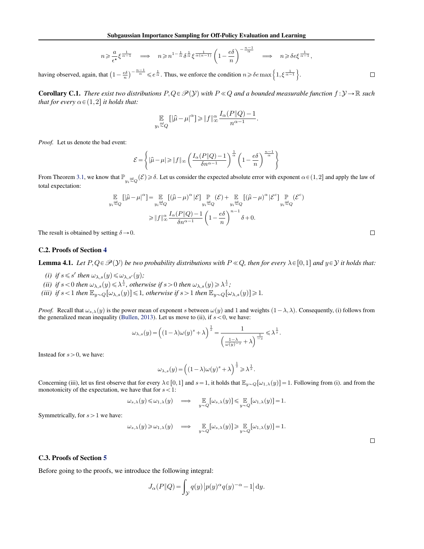$$
n \geqslant \frac{a}{\epsilon^\star} \xi^{\frac{1}{\alpha-1}} \quad \Longrightarrow \quad n \geqslant n^{1-\frac{1}{\alpha}} \delta^{\frac{1}{\alpha}} \xi^{\frac{1}{\alpha(\alpha-1)}} \left(1-\frac{e \delta}{n}\right)^{-\frac{n-1}{\alpha}} \quad \Longrightarrow \quad n \geqslant \delta e \xi^{\frac{1}{\alpha-1}},
$$

<span id="page-10-0"></span>having observed, again, that  $\left(1 - \frac{e\delta}{n}\right)$  $\int_{0}^{-\frac{n-1}{\alpha}} \leq e^{\frac{1}{\alpha}}$ . Thus, we enforce the condition  $n \geq \delta e \max\left\{1, \xi^{\frac{1}{\alpha-1}}\right\}$ .

**Corollary C.1.** *There exist two distributions*  $P, Q \in \mathcal{P}(Y)$  *with*  $P \ll Q$  *and a bounded measurable function*  $f : Y \to \mathbb{R}$  *such that for every*  $\alpha \in (1,2]$  *it holds that:* 

$$
\mathop{\mathbb{E}}_{y_i \overset{iid}{\sim} Q} \big[ \big| \widehat{\mu} - \mu \big|^\alpha \big] \! \geqslant \! \| f \|_{\infty}^{\alpha} \frac{I_\alpha(P \| Q) - 1}{n^{\alpha - 1}}.
$$

*Proof.* Let us denote the bad event:

$$
\mathcal{E}\!=\!\left\{|\widehat{\mu}-\mu|\!\geqslant\! \|f\|_{\infty}\left(\frac{I_{\alpha}(P\|Q)-1}{\delta n^{\alpha-1}}\right)^{\frac{1}{\alpha}}\left(1-\frac{e\delta}{n}\right)^{\frac{n-1}{\alpha}}\right\}
$$

From Theorem [3.1,](#page-1-0) we know that  $\mathbb{P}_{y_i \stackrel{\text{iid}}{\sim} Q}(\mathcal{E}) \ge \delta$ . Let us consider the expected absolute error with exponent  $\alpha \in (1,2]$  and apply the law of total expectation:

$$
\mathbb{E}_{y_i \stackrel{\text{iid}}{\sim} Q} [|\hat{\mu} - \mu|^{\alpha}] = \mathbb{E}_{y_i \stackrel{\text{iid}}{\sim} Q} [(\hat{\mu} - \mu)^{\alpha} | \mathcal{E}] \mathbb{P}_{y_i \stackrel{\text{iid}}{\sim} Q} (\mathcal{E}) + \mathbb{E}_{y_i \stackrel{\text{iid}}{\sim} Q} [(\hat{\mu} - \mu)^{\alpha} | \mathcal{E}^c] \mathbb{P}_{y_i \stackrel{\text{iid}}{\sim} Q} (\mathcal{E}^c)
$$
  
\n
$$
\geq ||f||_{\infty}^{\alpha} \frac{I_{\alpha}(P||Q) - 1}{\delta n^{\alpha - 1}} \left(1 - \frac{e\delta}{n}\right)^{n-1} \delta + 0.
$$

The result is obtained by setting  $\delta \rightarrow 0$ .

### C.2. Proofs of Section [4](#page-2-0)

**Lemma 4.1.** Let  $P, Q \in \mathcal{P}(Y)$  be two probability distributions with  $P \ll Q$ , then for every  $\lambda \in [0,1]$  and  $y \in Y$  it holds that:

- *(i) if*  $s \le s'$  *then*  $\omega_{\lambda,s}(y) \le \omega_{\lambda,s'}(y)$ *;*
- (*ii*) *if*  $s < 0$  *then*  $\omega_{\lambda,s}(y) \leq \lambda^{\frac{1}{s}}$ , *otherwise if*  $s > 0$  *then*  $\omega_{\lambda,s}(y) \geq \lambda^{\frac{1}{s}}$ ;
- *(iii) if*  $s < 1$  *then*  $\mathbb{E}_y \sim_Q[\omega_{\lambda,s}(y)] \leq 1$ *, otherwise if*  $s > 1$  *then*  $\mathbb{E}_y \sim_Q[\omega_{\lambda,s}(y)] \geq 1$ *.*

*Proof.* Recall that  $\omega_{s,\lambda}(y)$  is the power mean of exponent s between  $\omega(y)$  and 1 and weights  $(1-\lambda,\lambda)$ . Consequently, (i) follows from the generalized mean inequality [\(Bullen,](#page-4-0) [2013\)](#page-4-0). Let us move to (ii), if  $s < 0$ , we have:

$$
\omega_{\lambda,s}(y) = \left( (1-\lambda) \omega(y)^s + \lambda \right)^{\frac{1}{s}} = \frac{1}{\left( \frac{1-\lambda}{\omega(y)^{-s}} + \lambda \right)^{\frac{1}{-s}}} \leq \lambda^{\frac{1}{s}}.
$$

Instead for  $s > 0$ , we have:

$$
\omega_{\lambda,s}(y) = \left( (1-\lambda)\omega(y)^s + \lambda \right)^{\frac{1}{s}} \geqslant \lambda^{\frac{1}{s}}.
$$

Concerning (iii), let us first observe that for every  $\lambda \in [0,1]$  and  $s=1$ , it holds that  $\mathbb{E}_{y \sim Q}[\omega_{1,\lambda}(y)] = 1$ . Following from (i). and from the monotonicity of the expectation, we have that for  $s < 1$ :

$$
\omega_{s,\lambda}(y)\!\leqslant\!\omega_{1,\lambda}(y)\quad\Longrightarrow\quad\underset{y\sim Q}\mathbb{E}\!\left[\omega_{s,\lambda}(y)\right]\!\leqslant\underset{y\sim Q}\mathbb{E}\!\left[\omega_{1,\lambda}(y)\right]\!=\!1.
$$

Symmetrically, for  $s > 1$  we have:

$$
\omega_{s,\lambda}(y) \geq \omega_{1,\lambda}(y) \quad \Longrightarrow \quad \mathop{\mathbb{E}}_{y \sim Q}[\omega_{s,\lambda}(y)] \geq \mathop{\mathbb{E}}_{y \sim Q}[\omega_{1,\lambda}(y)] = 1.
$$

#### C.3. Proofs of Section [5](#page-2-0)

Before going to the proofs, we introduce the following integral:

$$
J_{\alpha}(P||Q) = \int_{\mathcal{Y}} q(y) |p(y)^{\alpha} q(y)^{-\alpha} - 1| \, dy.
$$

 $\Box$ 

 $\Box$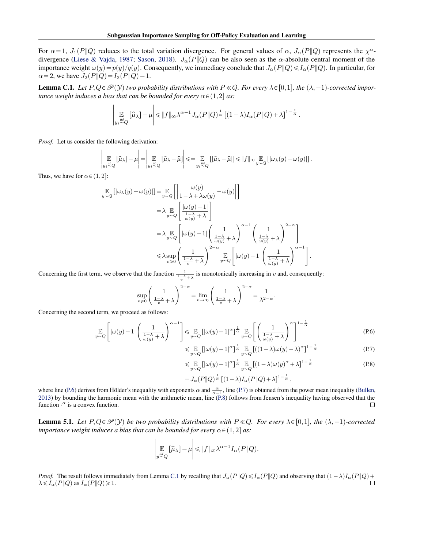<span id="page-11-0"></span>For  $\alpha = 1$ ,  $J_1(P||Q)$  reduces to the total variation divergence. For general values of  $\alpha$ ,  $J_\alpha(P||Q)$  represents the  $\chi^{\alpha}$ -divergence [\(Liese & Vajda,](#page-5-0) [1987;](#page-5-0) [Sason,](#page-6-0) [2018\)](#page-6-0).  $J_{\alpha}(P||Q)$  can be also seen as the  $\alpha$ -absolute central moment of the importance weight  $\omega(y) = p(y)/q(y)$ . Consequently, we immediacy conclude that  $J_{\alpha}(P||Q) \leq I_{\alpha}(P||Q)$ . In particular, for  $\alpha = 2$ , we have  $J_2(P||Q) = I_2(P||Q) - 1$ .

**Lemma C.1.** Let  $P, Q \in \mathcal{P}(Y)$  two probability distributions with  $P \ll Q$ . For every  $\lambda \in [0,1]$ , the  $(\lambda, -1)$ -corrected impor*tance weight induces a bias that can be bounded for every*  $\alpha \in (1,2]$  *as:* 

$$
\left|\mathop{\mathbb{E}}_{y_i\overset{\text{iid}}{\sim} Q}\big[\widehat{\mu}_\lambda\big] - \mu\right| \leqslant \|f\|_\infty \lambda^{\alpha-1} J_\alpha(P\|Q)^\frac{1}{\alpha}\left[(1-\lambda)I_\alpha(P\|Q)+\lambda\right]^{1-\frac{1}{\alpha}}.
$$

*Proof.* Let us consider the following derivation: ˇ

 $\overline{\phantom{a}}$  $\overline{\phantom{a}}$  $\overline{\phantom{a}}$ 

 $\overline{y}$ 

$$
\mathop{\mathbb{E}}_{y_i \overset{\text{iid}}{\sim} Q} \left[ \hat{\mu}_\lambda \right] - \mu \Bigg| = \Bigg| \mathop{\mathbb{E}}_{y_i \overset{\text{iid}}{\sim} Q} \left[ \hat{\mu}_\lambda - \hat{\mu} \right] \Bigg| \leqslant = \mathop{\mathbb{E}}_{y_i \overset{\text{iid}}{\sim} Q} \left[ \big| \hat{\mu}_\lambda - \hat{\mu} \big| \right] \leqslant \| f \|_\infty \mathop{\mathbb{E}}_{y \sim Q} \left[ \big| \omega_\lambda (y) - \omega (y) \big| \right].
$$

Thus, we have for  $\alpha \in (1,2]$ :

$$
\mathbb{E}_{Q} [|\omega_{\lambda}(y) - \omega(y)|] = \mathbb{E}_{y \sim Q} \left[ \left| \frac{\omega(y)}{1 - \lambda + \lambda \omega(y)} - \omega(y) \right| \right]
$$
\n
$$
= \lambda \mathbb{E}_{y \sim Q} \left[ \frac{|\omega(y) - 1|}{\frac{1 - \lambda}{\omega(y)} + \lambda} \right]
$$
\n
$$
= \lambda \mathbb{E}_{y \sim Q} \left[ |\omega(y) - 1| \left( \frac{1}{\frac{1 - \lambda}{\omega(y)} + \lambda} \right)^{\alpha - 1} \left( \frac{1}{\frac{1 - \lambda}{\omega(y)} + \lambda} \right)^{2 - \alpha} \right]
$$
\n
$$
\leq \lambda \sup_{v \geq 0} \left( \frac{1}{\frac{1 - \lambda}{v} + \lambda} \right)^{2 - \alpha} \mathbb{E}_{y \sim Q} \left[ |\omega(y) - 1| \left( \frac{1}{\frac{1 - \lambda}{\omega(y)} + \lambda} \right)^{\alpha - 1} \right].
$$

Concerning the first term, we observe that the function  $\frac{1}{\frac{1}{\psi} + \lambda}$  is monotonically increasing in v and, consequently:

$$
\sup_{v \ge 0} \left( \frac{1}{\frac{1-\lambda}{v} + \lambda} \right)^{2-\alpha} = \lim_{v \to \infty} \left( \frac{1}{\frac{1-\lambda}{v} + \lambda} \right)^{2-\alpha} = \frac{1}{\lambda^{2-\alpha}}.
$$

Concerning the second term, we proceed as follows:

$$
\mathbb{E}_{g} \left[ |\omega(y) - 1| \left( \frac{1}{\frac{1 - \lambda}{\omega(y)} + \lambda} \right)^{\alpha - 1} \right] \leq \mathbb{E}_{g} \left[ |\omega(y) - 1|^{\alpha} \right]^{\frac{1}{\alpha}} \mathbb{E}_{g} \left[ \left( \frac{1}{\frac{1 - \lambda}{\omega(y)} + \lambda} \right)^{\alpha} \right]^{1 - \frac{1}{\alpha}}
$$
(P.6)

$$
\leqslant \mathop{\mathbb{E}}_{y \sim Q} \left[ |\omega(y) - 1|^{\alpha} \right]^{\frac{1}{\alpha}} \mathop{\mathbb{E}}_{y \sim Q} \left[ ((1 - \lambda) \omega(y) + \lambda)^{\alpha} \right]^{1 - \frac{1}{\alpha}} \tag{P.7}
$$

$$
\leq \mathop{\mathbb{E}}_{y \sim Q} \left[ |\omega(y) - 1|^{\alpha} \right]^{\frac{1}{\alpha}} \mathop{\mathbb{E}}_{y \sim Q} \left[ (1 - \lambda) \omega(y)^{\alpha} + \lambda \right]^{1 - \frac{1}{\alpha}}
$$
\n
$$
= J_{\alpha}(P \| Q)^{\frac{1}{\alpha}} \left[ (1 - \lambda) I_{\alpha}(P \| Q) + \lambda \right]^{1 - \frac{1}{\alpha}},
$$
\n(P.8)

where line (P.6) derives from Hölder's inequality with exponents  $\alpha$  and  $\frac{\alpha}{\alpha-1}$ , line (P.7) is obtained from the power mean inequality [\(Bullen,](#page-4-0) [2013\)](#page-4-0) by bounding the harmonic mean with the arithmetic mean, line (P.8) follows from Jensen's inequality having observed that the function  $\cdot^{\alpha}$  is a convex function.  $\Box$ 

**Lemma 5.1.** Let  $P, Q \in \mathcal{P}(Y)$  be two probability distributions with  $P \ll Q$ . For every  $\lambda \in [0,1]$ , the  $(\lambda, -1)$ -corrected *importance weight induces a bias that can be bounded for every*  $\alpha \in (1,2]$  *as:* 

$$
\left|\mathop{\mathbb{E}}_{y \stackrel{iid}{\sim} Q} [\widehat{\mu}_{\lambda}] - \mu \right| \leq \|f\|_{\infty} \lambda^{\alpha - 1} I_{\alpha}(P \| Q).
$$

*Proof.* The result follows immediately from Lemma C.1 by recalling that  $J_{\alpha}(P||Q) \le I_{\alpha}(P||Q)$  and observing that  $(1 - \lambda)I_{\alpha}(P||Q) + \lambda \le I_{\alpha}(P||Q)$  as  $I_{\alpha}(P||Q) \ge 1$ .  $\lambda \leq I_{\alpha}(P \| Q)$  as  $I_{\alpha}(P \| Q) \geq 1$ .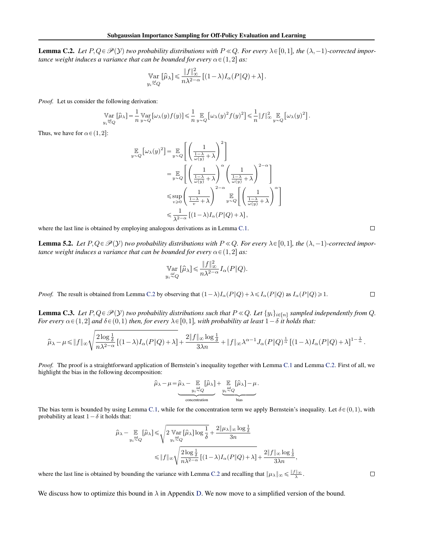<span id="page-12-0"></span>**Lemma C.2.** Let  $P, Q \in \mathcal{P}(Y)$  two probability distributions with  $P \ll Q$ . For every  $\lambda \in [0,1]$ , the  $(\lambda, -1)$ -corrected impor*tance weight induces a variance that can be bounded for every*  $\alpha \in (1,2]$  *as:* 

$$
\operatorname*{Var}_{y_i \stackrel{iid}{\sim} Q} [\widehat{\mu}_{\lambda}] \le \frac{\|f\|_{\infty}^2}{n\lambda^{2-\alpha}} \left[ (1-\lambda) I_{\alpha}(P \| Q) + \lambda \right].
$$

*Proof.* Let us consider the following derivation:

$$
\operatorname*{Var}_{y_i \stackrel{\text{ind}}{\sim} Q} [\hat{\mu}_{\lambda}] = \frac{1}{n} \operatorname*{Var}_{y \sim Q} [\omega_{\lambda}(y) f(y)] \leq \frac{1}{n} \operatorname*{E}_{y \sim Q} [\omega_{\lambda}(y)^2 f(y)^2] \leq \frac{1}{n} ||f||_{\infty}^2 \operatorname*{E}_{y \sim Q} [\omega_{\lambda}(y)^2].
$$

Thus, we have for  $\alpha \in (1,2]$ :

$$
\begin{split} \mathbb{E}_{y \sim Q} \left[ \omega_{\lambda}(y)^2 \right] & = \mathbb{E}_{y \sim Q} \left[ \left( \frac{1}{\frac{1-\lambda}{\omega(y)} + \lambda} \right)^2 \right] \\ & = \mathbb{E}_{y \sim Q} \left[ \left( \frac{1}{\frac{1-\lambda}{\omega(y)} + \lambda} \right)^{\alpha} \left( \frac{1}{\frac{1-\lambda}{\omega(y)} + \lambda} \right)^{2-\alpha} \right] \\ & \leq \sup_{v \geq 0} \left( \frac{1}{\frac{1-\lambda}{v} + \lambda} \right)^{2-\alpha} \mathbb{E}_{y \sim Q} \left[ \left( \frac{1}{\frac{1-\lambda}{\omega(y)} + \lambda} \right)^{\alpha} \right] \\ & \leq \frac{1}{\lambda^{2-\alpha}} \left[ (1-\lambda) I_{\alpha}(P \| Q) + \lambda \right], \end{split}
$$

where the last line is obtained by employing analogous derivations as in Lemma [C.1.](#page-11-0)

**Lemma 5.2.** Let  $P, Q \in \mathcal{P}(Y)$  two probability distributions with  $P \ll Q$ . For every  $\lambda \in [0,1]$ , the  $(\lambda, -1)$ -corrected impor*tance weight induces a variance that can be bounded for every*  $\alpha \in (1,2]$  *as:* 

$$
\mathbb{V}\underset{y_i \overset{\text{iid}}{\sim} Q}{\arg} [\widehat{\mu}_{\lambda}] \leq \frac{\|f\|_{\infty}^2}{n\lambda^{2-\alpha}} I_{\alpha}(P\|Q).
$$

*Proof.* The result is obtained from Lemma C.2 by observing that  $(1 - \lambda)I_{\alpha}(P\|Q) + \lambda \leq I_{\alpha}(P\|Q)$  as  $I_{\alpha}(P\|Q) \geq 1$ .

**Lemma C.3.** Let  $P, Q \in \mathcal{P}(Y)$  two probability distributions such that  $P \ll Q$ . Let  $\{y_i\}_{i \in [n]}$  sampled independently from Q. *For every*  $\alpha \in (1,2]$  *and*  $\delta \in (0,1)$  *then, for every*  $\lambda \in [0,1]$ *, with probability at least*  $1-\delta$  *it holds that:* 

$$
\widehat{\mu}_{\lambda}-\mu \leqslant \|f\|_{\infty}\sqrt{\frac{2\log{\frac{1}{\delta}}}{n\lambda^{2-\alpha}}}\left[(1-\lambda)I_{\alpha}(P\|Q)+\lambda\right]+\frac{2\|f\|_{\infty}\log{\frac{1}{\delta}}}{3\lambda n}+\|f\|_{\infty}\lambda^{\alpha-1}J_{\alpha}(P\|Q)^{\frac{1}{\alpha}}\left[(1-\lambda)I_{\alpha}(P\|Q)+\lambda\right]^{1-\frac{1}{\alpha}}.
$$

*Proof.* The proof is a straightforward application of Bernstein's inequality together with Lemma [C.1](#page-11-0) and Lemma C.2. First of all, we highlight the bias in the following decomposition:

$$
\widehat{\mu}_{\lambda} - \mu = \widehat{\mu}_{\lambda} - \underbrace{\mathbb{E}_{y_i \stackrel{\text{iid}}{\sim} Q} [\widehat{\mu}_{\lambda}]}_{\text{concentration}} + \underbrace{\mathbb{E}_{y_i \stackrel{\text{iid}}{\sim} Q} [\widehat{\mu}_{\lambda}] - \mu}_{\text{bias}}.
$$

The bias term is bounded by using Lemma [C.1,](#page-11-0) while for the concentration term we apply Bernstein's inequality. Let  $\delta \in (0,1)$ , with probability at least  $1 - \delta$  it holds that:

$$
\label{eq:mu} \begin{aligned} \widehat{\mu}_{\lambda}-\mathop{\mathbb{E}}_{y_i\overset{\text{iid}}{\sim} Q}[\widehat{\mu}_{\lambda}] \leqslant & \sqrt{2\mathop{\mathbb{V}\mathrm{ar}}_{y_i\overset{\text{iid}}{\sim} Q}[\widehat{\mu}_{\lambda}] \log\frac{1}{\delta}} + \frac{2\|\mu_{\lambda}\|_{\infty}\log\frac{1}{\delta}}{3n} \\ \leqslant & \|f\|_{\infty}\sqrt{\frac{2\log\frac{1}{\delta}}{n\lambda^{2-\alpha}}}\left[(1-\lambda)I_{\alpha}(P\|Q)+\lambda\right] + \frac{2\|f\|_{\infty}\log\frac{1}{\delta}}{3\lambda n}, \end{aligned}
$$

where the last line is obtained by bounding the variance with Lemma C.2 and recalling that  $\|\mu_{\lambda}\|_{\infty} \leq \frac{\|f\|_{\infty}}{\lambda}$ .

We discuss how to optimize this bound in  $\lambda$  in Appendix [D.](#page-18-0) We now move to a simplified version of the bound.

 $\Box$ 

$$
\qquad \qquad \Box
$$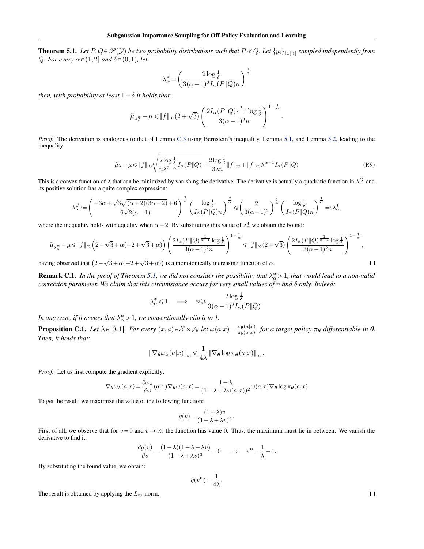<span id="page-13-0"></span>**Theorem 5.1.** Let  $P, Q \in \mathcal{P}(Y)$  be two probability distributions such that  $P \ll Q$ . Let  $\{y_i\}_{i \in [n]}$  sampled independently from *Q. For every*  $\alpha \in (1,2]$  *and*  $\delta \in (0,1)$ *, let* 

$$
\lambda_\alpha^* = \left(\frac{2\log\frac{1}{\delta}}{3(\alpha-1)^2I_\alpha(P\|Q)n}\right)^{\frac{1}{\alpha}}
$$

*then, with probability at least*  $1 - \delta$  *it holds that:* 

$$
\widehat{\mu}_{\lambda^{\textstyle{*}}_\alpha}-\mu \!\leqslant\! \|f\|_\infty(2+\sqrt{3})\left(\frac{2I_\alpha(P\|Q)^{\frac{1}{\alpha-1}}\log\frac{1}{\delta}}{3(\alpha-1)^2n}\right)^{1-\frac{1}{\alpha}}.
$$

*Proof.* The derivation is analogous to that of Lemma [C.3](#page-12-0) using Bernstein's inequality, Lemma [5.1,](#page-2-0) and Lemma [5.2,](#page-2-0) leading to the inequality:

$$
\widehat{\mu}_{\lambda} - \mu \le \|f\|_{\infty} \sqrt{\frac{2\log\frac{1}{\delta}}{n\lambda^{2-\alpha}} I_{\alpha}(P\|Q)} + \frac{2\log\frac{1}{\delta}}{3\lambda n} \|f\|_{\infty} + \|f\|_{\infty} \lambda^{\alpha-1} I_{\alpha}(P\|Q)
$$
\n(P.9)

This is a convex function of  $\lambda$  that can be minimized by vanishing the derivative. The derivative is actually a quadratic function in  $\lambda^{\frac{\alpha}{2}}$  and its positive solution has a quite complex expression:

$$
\lambda^{\#}_{\alpha}:= \left(\frac{-3\alpha+\sqrt{3}\sqrt{(\alpha+2)(3\alpha-2)}+6}{6\sqrt{2}(\alpha-1)}\right)^{\frac{2}{\alpha}}\left(\frac{\log\frac{1}{\delta}}{I_{\alpha}(P\|Q)n}\right)^{\frac{2}{\alpha}}\leqslant \left(\frac{2}{3(\alpha-1)^2}\right)^{\frac{1}{\alpha}}\left(\frac{\log\frac{1}{\delta}}{I_{\alpha}(P\|Q)n}\right)^{\frac{1}{\alpha}}=:\lambda^{\ast}_{\alpha},
$$

where the inequality holds with equality when  $\alpha = 2$ . By substituting this value of  $\lambda^*_{\alpha}$  we obtain the bound:

$$
\hat{\mu}_{\lambda^*_{\alpha}} - \mu \le \|f\|_{\infty} \left(2 - \sqrt{3} + \alpha(-2 + \sqrt{3} + \alpha)\right) \left(\frac{2I_{\alpha}(P\|Q)^{\frac{1}{\alpha - 1}}\log\frac{1}{\delta}}{3(\alpha - 1)^2 n}\right)^{1 - \frac{1}{\alpha}} \le \|f\|_{\infty} (2 + \sqrt{3}) \left(\frac{2I_{\alpha}(P\|Q)^{\frac{1}{\alpha - 1}}\log\frac{1}{\delta}}{3(\alpha - 1)^2 n}\right)^{1 - \frac{1}{\alpha}},
$$
\ning observed that

\n
$$
(2 - \sqrt{3} + \alpha(-2 + \sqrt{3} + \alpha))
$$
\nis a monotonically increasing function of

\n
$$
\alpha.
$$

having observed that  $(2-\sqrt{3}+\alpha(-2+\sqrt{3}+\alpha))$  is a monotonically increasing function of  $\alpha$ .

**Remark C.1.** In the proof of Theorem [5.1,](#page-3-0) we did not consider the possibility that  $\lambda^*_\alpha > 1$ , that would lead to a non-valid *correction parameter. We claim that this circumstance occurs for very small values of* n *and* δ *only. Indeed:*

$$
\lambda_{\alpha}^* \leq 1 \quad \Longrightarrow \quad n \geqslant \frac{2\log\frac{1}{\delta}}{3(\alpha - 1)^2 I_{\alpha}(P\|Q)}.
$$

*In any case, if it occurs that*  $\lambda_{\alpha}^{*} > 1$ *, we conventionally clip it to 1.* 

**Proposition C.1.** Let  $\lambda \in [0,1]$ . For every  $(x, a) \in \mathcal{X} \times \mathcal{A}$ , let  $\omega(a|x) = \frac{\pi_{\theta}(a|x)}{\pi_b(a|x)}$ , for a target policy  $\pi_{\theta}$  differentiable in  $\theta$ . *Then, it holds that:*

$$
\|\nabla_{\boldsymbol{\theta}}\omega_{\lambda}(a|x)\|_{\infty} \leq \frac{1}{4\lambda} \|\nabla_{\boldsymbol{\theta}}\log\pi_{\boldsymbol{\theta}}(a|x)\|_{\infty}.
$$

*Proof.* Let us first compute the gradient explicitly:

$$
\nabla_{\theta} \omega_{\lambda}(a|x) = \frac{\partial \omega_{\lambda}}{\partial \omega}(a|x) \nabla_{\theta} \omega(a|x) = \frac{1 - \lambda}{(1 - \lambda + \lambda \omega(a|x))^2} \omega(a|x) \nabla_{\theta} \log \pi_{\theta}(a|x)
$$

To get the result, we maximize the value of the following function:

$$
g(v) = \frac{(1 - \lambda)v}{(1 - \lambda + \lambda v)^2}.
$$

First of all, we observe that for  $v = 0$  and  $v \rightarrow \infty$ , the function has value 0. Thus, the maximum must lie in between. We vanish the derivative to find it:

$$
\frac{\partial g(v)}{\partial v} = \frac{(1-\lambda)(1-\lambda-\lambda v)}{(1-\lambda+\lambda v)^3} = 0 \quad \Longrightarrow \quad v^* = \frac{1}{\lambda} - 1.
$$

By substituting the found value, we obtain:

$$
g(v^*) = \frac{1}{4\lambda}.
$$

The result is obtained by applying the  $L_{\infty}$ -norm.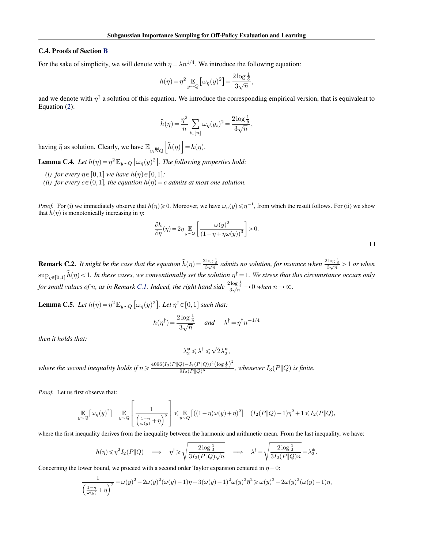### <span id="page-14-0"></span>C.4. Proofs of Section [B](#page-7-0)

For the sake of simplicity, we will denote with  $\eta = \lambda n^{1/4}$ . We introduce the following equation:

$$
h(\eta) = \eta^2 \mathop{\mathbb{E}}_{y \sim Q} \left[ \omega_{\eta}(y)^2 \right] = \frac{2 \log \frac{1}{\delta}}{3 \sqrt{n}},
$$

and we denote with  $\eta^{\dagger}$  a solution of this equation. We introduce the corresponding empirical version, that is equivalent to Equation [\(2\)](#page-8-0):

$$
\widehat{h}(\eta) = \frac{\eta^2}{n} \sum_{i \in [n]} \omega_{\eta}(y_i)^2 = \frac{2 \log \frac{1}{\delta}}{3 \sqrt{n}},
$$

having  $\hat{\eta}$  as solution. Clearly, we have  $\mathbb{E}_{y_i \stackrel{\text{iid}}{\sim} Q}$  $\widehat{h}(\eta)$  $= h(\eta).$  $\begin{array}{c} y_i \sim \\ z_i \sim \end{array}$ 

**Lemma C.4.** *Let*  $h(\eta) = \eta^2 \mathbb{E}_{y \sim Q} \left[ \omega_{\eta}(y)^2 \right]$ . *The following properties hold:* 

- *(i) for every*  $\eta \in [0,1]$  *we have*  $h(\eta) \in [0,1]$ *;*
- *(ii) for every*  $c \in (0,1]$ *, the equation*  $h(\eta) = c$  *admits at most one solution.*

*Proof.* For (i) we immediately observe that  $h(\eta) \ge 0$ . Moreover, we have  $\omega_{\eta}(y) \le \eta^{-1}$ , from which the result follows. For (ii) we show that  $h(\eta)$  is monotonically increasing in  $\eta$ : " 

$$
\frac{\partial h}{\partial \eta}(\eta) = 2\eta \mathop{\mathbb{E}}_{y \sim Q} \left[ \frac{\omega(y)^2}{\left(1 - \eta + \eta \omega(y)\right)^3} \right] > 0.
$$

**Remark C.2.** It might be the case that the equation  $\hat{h}(\eta) = \frac{2 \log \frac{1}{\delta}}{3\sqrt{n}}$  admits no solution, for instance when  $\frac{2 \log \frac{1}{\delta}}{3\sqrt{n}} > 1$  or when  $\sup_{\eta\in[0,1]}\hat{h}(\eta)$  < 1. In these cases, we conventionally set the solution  $\eta^{\dagger}$  = 1. We stress that this circumstance occurs only for small values of n, as in Remark [C.1.](#page-13-0) Indeed, the right hand side  $\frac{2\log\frac{1}{\delta}}{3\sqrt{n}} \to 0$  when  $n \to \infty$ .

**Lemma C.5.** *Let*  $h(\eta) = \eta^2 \mathbb{E}_{y \sim Q}$ "  $\omega_{\eta}(y)^2$ *. Let*  $\eta^{\dagger} \in [0,1]$  *such that:* 

$$
h(\eta^{\dagger}) = \frac{2\log\frac{1}{\delta}}{3\sqrt{n}} \quad \text{and} \quad \lambda^{\dagger} = \eta^{\dagger}n^{-1/4}
$$

*then it holds that:*

$$
\lambda_2^* \leqslant \lambda^\dagger \leqslant \sqrt{2} \lambda_2^*,
$$

where the second inequality holds if  $n \geqslant \frac{4096 (I_3(P \| Q) - I_2(P \| Q))^4 (\log \frac{1}{\delta})^2}{9I_2(P \| Q)^6}$  $\frac{Q}{9I_2(P\|Q)^6}$  ( $\frac{\log \frac{2}{\delta}}{\log \frac{Q}{P\|Q}}$ , whenever  $I_3(P\|Q)$  is finite.

*Proof.* Let us first observe that:

$$
\underset{y \sim Q}{\mathbb{E}}\left[\omega_{\eta}(y)^2\right] = \underset{y \sim Q}{\mathbb{E}}\left[\frac{1}{\left(\frac{1-\eta}{\omega(y)} + \eta\right)^2}\right] \leqslant \underset{y \sim Q}{\mathbb{E}}\left[\left((1-\eta)\omega(y) + \eta\right)^2\right] = \left(I_2(P\|Q) - 1\right)\eta^2 + 1 \leqslant I_2(P\|Q),
$$

where the first inequality derives from the inequality between the harmonic and arithmetic mean. From the last inequality, we have: d

$$
h(\eta) \leq \eta^2 I_2(P \| Q) \quad \Longrightarrow \quad \eta^{\dagger} \geq \sqrt{\frac{2 \log \frac{1}{\delta}}{3 I_2(P \| Q) \sqrt{n}}} \quad \Longrightarrow \quad \lambda^{\dagger} = \sqrt{\frac{2 \log \frac{1}{\delta}}{3 I_2(P \| Q) n}} = \lambda^{\frac{*}{2}}.
$$

Concerning the lower bound, we proceed with a second order Taylor expansion centered in  $\eta = 0$ :

$$
\frac{1}{\left(\frac{1-\eta}{\omega(y)}+\eta\right)^2}=\omega(y)^2-2\omega(y)^2(\omega(y)-1)\eta+3(\omega(y)-1)^2\omega(y)^2\overline{\eta}^2\geqslant \omega(y)^2-2\omega(y)^2(\omega(y)-1)\eta,
$$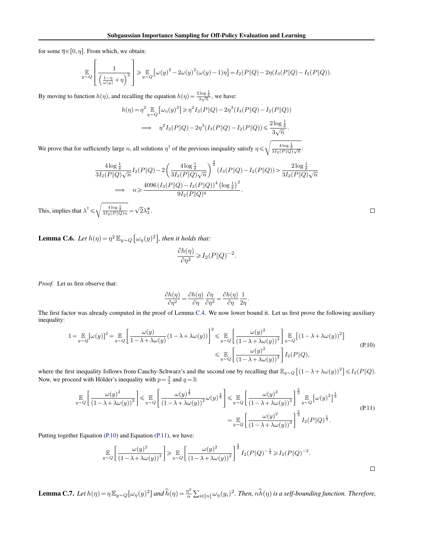<span id="page-15-0"></span>for some  $\overline{\eta} \in [0, \eta]$ . From which, we obtain:

$$
\mathbb{E}_{y \sim Q} \left[ \frac{1}{\left(\frac{1-\eta}{\omega(y)} + \eta\right)^2} \right] \geq \mathbb{E}_{y \sim Q} \left[ \omega(y)^2 - 2\omega(y)^2(\omega(y) - 1)\eta \right] = I_2(P \| Q) - 2\eta(I_3(P \| Q) - I_2(P \| Q)).
$$

By moving to function  $h(\eta)$ , and recalling the equation  $h(\eta) = \frac{2 \log \frac{1}{\delta}}{3 \sqrt{n}}$ , we have:

$$
h(\eta) = \eta^2 \mathop{\mathbb{E}}_{y \sim Q} \left[ \omega_{\eta}(y)^2 \right] \ge \eta^2 I_2(P \| Q) - 2\eta^3 (I_3(P \| Q) - I_2(P \| Q))
$$
  
\n
$$
\implies \eta^2 I_2(P \| Q) - 2\eta^3 (I_3(P \| Q) - I_2(P \| Q)) \le \frac{2\log \frac{1}{\delta}}{3\sqrt{n}}.
$$

We prove that for sufficiently large n, all solutions  $\eta^{\dagger}$  of the previous inequality satisfy  $\eta \leq \sqrt{\frac{4 \log \frac{1}{\delta}}{3 I_2(P||Q)\sqrt{n}}}$ :

$$
\frac{4\log\frac{1}{\delta}}{3I_2(P\|Q)\sqrt{n}}I_2(P\|Q) - 2\left(\frac{4\log\frac{1}{\delta}}{3I_2(P\|Q)\sqrt{n}}\right)^{\frac{3}{2}}(I_3(P\|Q) - I_2(P\|Q)) > \frac{2\log\frac{1}{\delta}}{3I_2(P\|Q)\sqrt{n}}
$$
  
\n
$$
\implies n \geq \frac{4096(I_3(P\|Q) - I_2(P\|Q))^4\left(\log\frac{1}{\delta}\right)^2}{9I_2(P\|Q)^6}.
$$

This, implies that  $\lambda^{\dagger} \le \sqrt{\frac{4 \log \frac{1}{\delta}}{3 I_2(P \| Q) n}} = \sqrt{2} \lambda_2^*$ .

**Lemma C.6.** *Let*  $h(\eta) = \eta^2 \mathbb{E}_{y \sim Q}$ "  $\omega_{\eta}(y)^2$ *, then it holds that:*

$$
\frac{\partial h(\eta)}{\partial \eta^2} \geqslant I_2(P \| Q)^{-2}.
$$

*Proof.* Let us first observe that:

$$
\frac{\partial h(\eta)}{\partial \eta^2} = \frac{\partial h(\eta)}{\partial \eta} \frac{\partial \eta}{\partial \eta^2} = \frac{\partial h(\eta)}{\partial \eta} \frac{1}{2\eta}.
$$

The first factor was already computed in the proof of Lemma [C.4.](#page-14-0) We now lower bound it. Let us first prove the following auxiliary inequality:

$$
1 = \mathop{\mathbb{E}}_{y \sim Q} [\omega(y)]^2 = \mathop{\mathbb{E}}_{y \sim Q} \left[ \frac{\omega(y)}{1 - \lambda + \lambda \omega(y)} (1 - \lambda + \lambda \omega(y)) \right]^2 \leq \mathop{\mathbb{E}}_{y \sim Q} \left[ \frac{\omega(y)^2}{(1 - \lambda + \lambda \omega(y))^2} \right] \mathop{\mathbb{E}}_{y \sim Q} \left[ (1 - \lambda + \lambda \omega(y))^2 \right] \tag{P.10}
$$
  

$$
\leq \mathop{\mathbb{E}}_{y \sim Q} \left[ \frac{\omega(y)^2}{(1 - \lambda + \lambda \omega(y))^2} \right] I_2(P||Q),
$$

where the first inequality follows from Cauchy-Schwarz's and the second one by recalling that  $\mathbb{E}_{y\sim Q}\left[(1-\lambda+\lambda\omega(y))^2\right]$  $\leqslant I_2(P\|Q)$ . Now, we proceed with Hölder's inequality with  $p = \frac{3}{2}$  and  $q = 3$ :

$$
\mathbb{E}_{y \sim Q} \left[ \frac{\omega(y)^2}{(1 - \lambda + \lambda \omega(y))^2} \right] \leq \mathbb{E}_{y \sim Q} \left[ \frac{\omega(y)^{\frac{4}{3}}}{(1 - \lambda + \lambda \omega(y))^2} \omega(y)^{\frac{2}{3}} \right] \leq \mathbb{E}_{y \sim Q} \left[ \frac{\omega(y)^2}{(1 - \lambda + \lambda \omega(y))^3} \right]^{\frac{2}{3}} \mathbb{E}_{y \sim Q} \left[ \omega(y)^2 \right]^{\frac{1}{3}}
$$
\n
$$
= \mathbb{E}_{y \sim Q} \left[ \frac{\omega(y)^2}{(1 - \lambda + \lambda \omega(y))^3} \right]^{\frac{2}{3}} I_2(P \| Q)^{\frac{1}{3}}.
$$
\n
$$
(P.11)
$$

Putting together Equation (P.10) and Equation (P.11), we have:

$$
\mathop{\mathbb{E}}\limits_{y \sim Q} \left[ \frac{\omega(y)^2}{\left(1 - \lambda + \lambda \omega(y)\right)^3} \right] \geqslant \mathop{\mathbb{E}}\limits_{y \sim Q} \left[ \frac{\omega(y)^2}{\left(1 - \lambda + \lambda \omega(y)\right)^2} \right]^{\frac{3}{2}} I_2(P \| Q)^{-\frac{1}{2}} \geqslant I_2(P \| Q)^{-2}.
$$

**Lemma C.7.** Let  $h(\eta) = \eta \mathbb{E}_{y \sim Q} [\omega_{\eta}(y)^2]$  and  $\hat{h}(\eta) = \frac{\eta^2}{n}$ n  $\hat{u} \in [n] \omega_{\eta}(y_i)^2$ . Then,  $n \widehat{h}(\eta)$  is a self-bounding function. Therefore,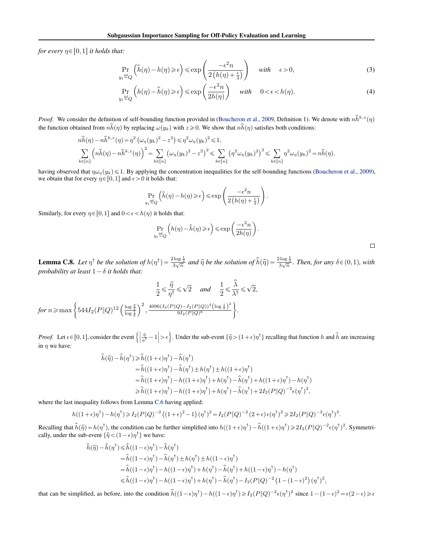<span id="page-16-0"></span>*for every*  $\eta \in [0,1]$  *it holds that:* 

$$
\Pr_{y_i \stackrel{iid}{\sim} Q} \left( \hat{h}(\eta) - h(\eta) \ge \epsilon \right) \le \exp\left( \frac{-\epsilon^2 n}{2\left( h(\eta) + \frac{\epsilon}{3} \right)} \right) \quad \text{with} \quad \epsilon > 0,
$$
\n(3)

$$
\Pr_{y_i \stackrel{iid}{\sim} Q} \left( h(\eta) - \hat{h}(\eta) \ge \epsilon \right) \le \exp\left(\frac{-\epsilon^2 n}{2h(\eta)}\right) \quad \text{with} \quad 0 < \epsilon < h(\eta). \tag{4}
$$

*Proof.* We consider the definition of self-bounding function provided in [\(Boucheron et al.,](#page-4-0) [2009,](#page-4-0) Definition 1). We denote with  $n\hat{h}^{k,z}(\eta)$ the function obtained from  $n\hat{h}(\eta)$  by replacing  $\omega(y_k)$  with  $z \geq 0$ . We show that  $n\hat{h}(\eta)$  satisfies both conditions:

$$
n\widehat{h}(\eta) - n\widehat{h}^{k,z}(\eta) = \eta^2 \left(\omega_\eta(y_k)^2 - z^2\right) \leq \eta^2 \omega_\eta(y_k)^2 \leq 1,
$$
  

$$
\sum_{k \in [n]} \left(n\widehat{h}(\eta) - n\widehat{h}^{k,z}(\eta)\right)^2 = \sum_{k \in [n]} \left(\omega_\eta(y_k)^2 - z^2\right)^2 \leq \sum_{k \in [n]} \left(\eta^2 \omega_\eta(y_k)^2\right)^2 \leq \sum_{k \in [n]} \eta^2 \omega_\eta(y_k)^2 = n\widehat{h}(\eta).
$$

having observed that  $\eta\omega_{\eta}(y_k) \leq 1$ . By applying the concentration inequalities for the self-bounding functions [\(Boucheron et al.,](#page-4-0) [2009\)](#page-4-0), we obtain that for every  $\eta \in [0,1]$  and  $\epsilon > 0$  it holds that:

$$
\Pr_{y_i \stackrel{\text{ind}}{\sim} Q} \left( \widehat{h}(\eta) - h(\eta) \geqslant \epsilon \right) \leqslant \exp \left( \frac{-\epsilon^2 n}{2 \left( h(\eta) + \frac{\epsilon}{3} \right)} \right).
$$

Similarly, for every  $\eta \in [0,1]$  and  $0 < \epsilon < h(\eta)$  it holds that:

$$
\Pr_{y_i \overset{\text{iid}}{\sim} Q} \left( h(\eta) - \hat{h}(\eta) \!\geqslant\! \epsilon \right) \!\leqslant\! \exp\left( \frac{-\epsilon^2 n}{2h(\eta)} \right).
$$

 $\Box$ 

**Lemma C.8.** Let  $\eta^{\dagger}$  be the solution of  $h(\eta^{\dagger}) = \frac{2 \log \frac{1}{\delta}}{3 \sqrt{n}}$  and  $\hat{\eta}$  be the solution of  $\hat{h}(\hat{\eta}) = \frac{2 \log \frac{1}{\delta}}{3 \sqrt{n}}$ . Then, for any  $\delta \in (0,1)$ , with *probability at least*  $1-\delta$  *it holds that:* 

$$
\frac{1}{2} \leq \frac{\hat{\eta}}{\eta^{\dagger}} \leq \sqrt{2} \quad \text{and} \quad \frac{1}{2} \leq \frac{\hat{\lambda}}{\lambda^{\dagger}} \leq \sqrt{2},
$$
  
for  $n \geq \max \left\{ 544I_2(P||Q)^{12} \left( \frac{\log \frac{2}{\delta}}{\log \frac{1}{\delta}} \right)^2, \frac{4096(I_3(P||Q) - I_2(P||Q))^4 (\log \frac{1}{\delta})^2}{9I_2(P||Q)^6} \right\}.$ 

*Proof.* Let  $\epsilon \in [0,1]$ , consider the event  $\left\{ \left| \frac{\hat{\eta}}{\eta^{\dagger}} - 1 \right| \right\}$  $\vert > \epsilon$ . Under the sub-event  $\{\hat{\eta} > (1 + \epsilon)\eta^{\dagger}\}\$  recalling that function h and  $\hat{h}$  are increasing in  $\eta$  we have:

$$
\hat{h}(\hat{\eta}) - \hat{h}(\eta^{\dagger}) \ge \hat{h}((1+\epsilon)\eta^{\dagger}) - \hat{h}(\eta^{\dagger}) \n= \hat{h}((1+\epsilon)\eta^{\dagger}) - \hat{h}(\eta^{\dagger}) \pm h(\eta^{\dagger}) \pm h((1+\epsilon)\eta^{\dagger}) \n= \hat{h}((1+\epsilon)\eta^{\dagger}) - h((1+\epsilon)\eta^{\dagger}) + h(\eta^{\dagger}) - \hat{h}(\eta^{\dagger}) + h((1+\epsilon)\eta^{\dagger}) - h(\eta^{\dagger}) \n\ge \hat{h}((1+\epsilon)\eta^{\dagger}) - h((1+\epsilon)\eta^{\dagger}) + h(\eta^{\dagger}) - \hat{h}(\eta^{\dagger}) + 2I_2(P\|Q)^{-2}\epsilon(\eta^{\dagger})^2,
$$

where the last inequality follows from Lemma [C.6](#page-15-0) having applied:

$$
h((1+\epsilon)\eta^{\dagger}) - h(\eta^{\dagger}) \ge I_2(P||Q)^{-2} ((1+\epsilon)^2 - 1) (\eta^{\dagger})^2 = I_2(P||Q)^{-2} (2+\epsilon) \epsilon (\eta^{\dagger})^2 \ge 2I_2(P||Q)^{-2} \epsilon (\eta^{\dagger})^2.
$$

Recalling that  $\hat{h}(\hat{\eta}) = h(\eta^{\dagger})$ , the condition can be further simplified into  $h((1+\epsilon)\eta^{\dagger}) - \hat{h}((1+\epsilon)\eta^{\dagger}) \ge 2I_2(P||Q)^{-2}\epsilon(\eta^{\dagger})^2$ . Symmetrically, under the sub-event  $\{\hat{\eta} < (1 - \epsilon)\eta^{\dagger}\}\$ we have:

$$
\hat{h}(\hat{\eta}) - \hat{h}(\eta^{\dagger}) \le \hat{h}((1 - \epsilon)\eta^{\dagger}) - \hat{h}(\eta^{\dagger})
$$
\n
$$
= \hat{h}((1 - \epsilon)\eta^{\dagger}) - \hat{h}(\eta^{\dagger}) \pm h(\eta^{\dagger}) \pm h((1 - \epsilon)\eta^{\dagger})
$$
\n
$$
= \hat{h}((1 - \epsilon)\eta^{\dagger}) - h((1 - \epsilon)\eta^{\dagger}) + h(\eta^{\dagger}) - \hat{h}(\eta^{\dagger}) + h((1 - \epsilon)\eta^{\dagger}) - h(\eta^{\dagger})
$$
\n
$$
\le \hat{h}((1 - \epsilon)\eta^{\dagger}) - h((1 - \epsilon)\eta^{\dagger}) + h(\eta^{\dagger}) - \hat{h}(\eta^{\dagger}) - I_2(P||Q)^{-2} (1 - (1 - \epsilon)^2) (\eta^{\dagger})^2,
$$

that can be simplified, as before, into the condition  $\hat{h}((1-\epsilon)\eta^{\dagger}) - h((1-\epsilon)\eta^{\dagger}) \geq I_2(P||Q)^{-2}\epsilon(\eta^{\dagger})^2$  since  $1 - (1-\epsilon)^2 = \epsilon(2-\epsilon) \geq \epsilon$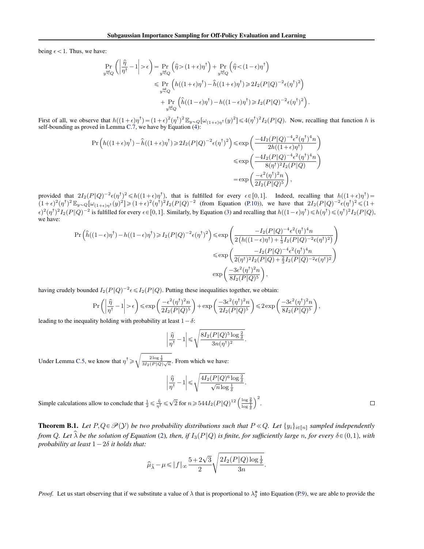being  $\epsilon$  < 1. Thus, we have:

$$
\begin{split} \Pr_{y \stackrel{\text{ind}}{=} Q} \left( \left| \frac{\hat{\eta}}{\eta^\dagger} - 1 \right| > \epsilon \right) & = \Pr_{y \stackrel{\text{ind}}{=} Q} \left( \hat{\eta} > (1+\epsilon)\eta^\dagger \right) + \Pr_{y \stackrel{\text{ind}}{=} Q} \left( \hat{\eta} < (1-\epsilon)\eta^\dagger \right) \\ & \leqslant \Pr_{y \stackrel{\text{ind}}{=} Q} \left( h((1+\epsilon)\eta^\dagger) - \hat{h}((1+\epsilon)\eta^\dagger) \geqslant 2 I_2(P \| Q)^{-2} \epsilon(\eta^\dagger)^2 \right) \\ & \quad + \Pr_{y \stackrel{\text{ind}}{=} Q} \left( \hat{h}((1-\epsilon)\eta^\dagger) - h((1-\epsilon)\eta^\dagger) \geqslant I_2(P \| Q)^{-2} \epsilon(\eta^\dagger)^2 \right). \end{split}
$$

First of all, we observe that  $h((1+\epsilon)\eta^{\dagger}) = (1+\epsilon)^2 (\eta^{\dagger})^2 \mathbb{E}_{y \sim Q} [\omega_{(1+\epsilon)\eta^{\dagger}}(y)^2] \leq 4(\eta^{\dagger})^2 I_2(P||Q)$ . Now, recalling that function h is

self-bounding as proved in Lemma C.7, we have by Equation (4):  
\n
$$
\Pr\left(h((1+\epsilon)\eta^{\dagger}) - \hat{h}((1+\epsilon)\eta^{\dagger}) \ge 2I_2(P||Q)^{-2}\epsilon(\eta^{\dagger})^2\right) \le \exp\left(\frac{-4I_2(P||Q)^{-4}\epsilon^2(\eta^{\dagger})^4n}{2h((1+\epsilon)\eta^{\dagger})}\right)
$$
\n
$$
\le \exp\left(\frac{-4I_2(P||Q)^{-4}\epsilon^2(\eta^{\dagger})^4n}{8(\eta^{\dagger})^2I_2(P||Q)}\right)
$$
\n
$$
= \exp\left(\frac{-\epsilon^2(\eta^{\dagger})^2n}{2I_2(P||Q)^5}\right),
$$

provided that  $2I_2(P||Q)^{-2} \epsilon(\eta^{\dagger})^2 \le h((1+\epsilon)\eta^{\dagger})$ , that is fulfilled for every  $\epsilon \in [0,1]$ . Indeed, recalling that  $h((1+\epsilon)\eta^{\dagger}) =$  $(1+\epsilon)^2(\eta^{\dagger})^2 \mathbb{E}_{y\sim Q}[\omega_{(1+\epsilon)\eta^{\dagger}}(y)^2] \geq (1+\epsilon)^2(\eta^{\dagger})^2 I_2(P\|Q)^{-2}$  (from Equation [\(P.10\)](#page-15-0)), we have that  $2I_2(P\|Q)^{-2}\epsilon(\eta^{\dagger})^2 \leq (1+\epsilon)^2$  $\epsilon^2(\eta^{\dagger})^2 I_2(P \| Q)^{-2}$  is fulfilled for every  $\epsilon \in [0,1]$ . Similarly, by Equation [\(3\)](#page-9-0) and recalling that  $h((1-\epsilon)\eta^{\dagger}) \leq h(\eta^{\dagger}) \leq (\eta^{\dagger})^2 I_2(P \| Q)$ , we have:

$$
\begin{split} \Pr\Big(\hat{h}((1-\epsilon)\eta^\dagger)-h((1-\epsilon)\eta^\dagger)\!\geqslant& I_2(P\|Q)^{-2}\epsilon(\eta^\dagger)^2\Big)\!\leqslant& \exp\left(\frac{-I_2(P\|Q)^{-4}\epsilon^2(\eta^\dagger)^4n}{2\left(h((1-\epsilon)\eta^\dagger)+\frac{1}{3}I_2(P\|Q)^{-2}\epsilon(\eta^\dagger)^2\right)}\right)\\ &\leqslant\exp\left(\frac{-I_2(P\|Q)^{-4}\epsilon^2(\eta^\dagger)^4n}{2(\eta^\dagger)^2I_2(P\|Q)+\frac{2}{3}I_2(P\|Q)^{-2}\epsilon(\eta^\dagger)^2}\right)\\ &\exp\left(\frac{-3\epsilon^2(\eta^\dagger)^2n}{8I_2(P\|Q)^5}\right), \end{split}
$$

having crudely bounded  $I_2(P||Q)^{-2} \epsilon \leq I_2(P||Q)$ . Putting these inequalities together, we obtain:

$$
\Pr\left(\left|\frac{\hat{\eta}}{\eta^{\dagger}}-1\right|>\epsilon\right)\leqslant \exp\left(\frac{-\epsilon^2(\eta^{\dagger})^2n}{2I_2(P\|Q)^5}\right)+\exp\left(\frac{-3\epsilon^2(\eta^{\dagger})^2n}{2I_2(P\|Q)^5}\right)\leqslant 2\exp\left(\frac{-3\epsilon^2(\eta^{\dagger})^2n}{8I_2(P\|Q)^5}\right),
$$

leading to the inequality holding with probability at least  $1 - \delta$ :

$$
\left|\frac{\widehat{\eta}}{\eta^{\dagger}}-1\right|\leqslant\sqrt{\frac{8I_2(P\|Q)^5\log\frac{2}{\delta}}{3n(\eta^{\dagger})^2}}.
$$

Under Lemma [C.5,](#page-14-0) we know that  $\eta^{\dagger} \geq$  $\frac{2 \log \frac{1}{\delta}}{3I_2(P||Q)\sqrt{n}}$ . From which we have:

$$
\left|\frac{\widehat{\eta}}{\eta^{\dagger}}-1\right| \leqslant \sqrt{\frac{4I_2(P\|Q)^6\log\frac{2}{\delta}}{\sqrt{n}\log\frac{1}{\delta}}}.
$$

Simple calculations allow to conclude that  $\frac{1}{2} \le \frac{\hat{\eta}}{\eta^{\dagger}} \le \sqrt{2}$  for  $n \ge 544I_2(P||Q)^{12} \left(\frac{\log \frac{2}{\delta}}{\log \frac{1}{\delta}}\right)$  $\sqrt{2}$ .

**Theorem B.1.** Let  $P, Q \in \mathcal{P}(Y)$  be two probability distributions such that  $P \ll Q$ . Let  $\{y_i\}_{i \in [n]}$  sampled independently *from* Q. Let  $\hat{\lambda}$  be the solution of Equation [\(2\)](#page-8-0), then, if  $I_3(P||Q)$  is finite, for sufficiently large n, for every  $\delta \in (0,1)$ , with *probability at least*  $1 - 2\delta$  *it holds that:* 

$$
\widehat{\mu}_{\widehat{\lambda}}-\mu\!\leqslant\! \|f\|_{\infty} \frac{5+2\sqrt{3}}{2}\sqrt{\frac{2I_2(P\|Q)\log\frac{1}{\delta}}{3n}}.
$$

*Proof.* Let us start observing that if we substitute a value of  $\lambda$  that is proportional to  $\lambda_2^*$  into Equation [\(P.9\)](#page-13-0), we are able to provide the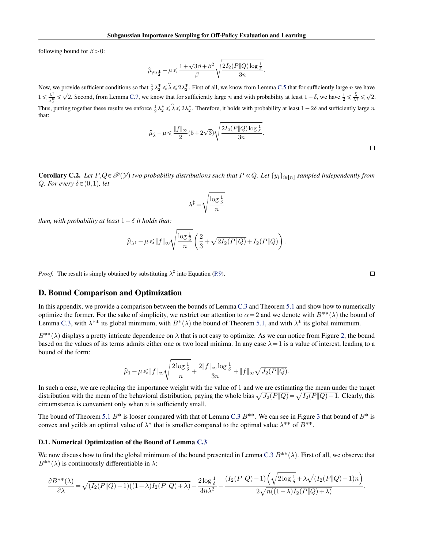<span id="page-18-0"></span>following bound for  $\beta > 0$ :

$$
\widehat{\mu}_{\beta\lambda_2^{\textstyle{*}}} - \mu \! \leqslant \! \frac{ 1 + \sqrt{3}\beta + \beta^2}{\beta} \sqrt{ \frac{2I_2(P \| Q) \log \frac{1}{\delta}}{3n}}
$$

Now, we provide sufficient conditions so that  $\frac{1}{2}\lambda_2^* \leq \hat{\lambda} \leq 2\lambda_2^*$ . First of all, we know from Lemma [C.5](#page-14-0) that for sufficiently large n we have  $1 \leqslant \frac{\lambda^{\dagger}}{\lambda^{\frac{1}{2}}}$  $\frac{\lambda^{\dagger}}{\lambda^{\dagger}_{2}} \leq \sqrt{2}$ . Second, from Lemma [C.7,](#page-15-0) we know that for sufficiently large *n* and with probability at least  $1 - \delta$ , we have  $\frac{1}{2} \leq \frac{\hat{\lambda}}{\lambda^{\dagger}} \leq \sqrt{2}$ . Thus, putting together these results we enforce  $\frac{1}{2}\lambda_2^* \le \hat{\lambda} \le 2\lambda_2^*$ . Therefore, it holds with probability at least  $1-2\delta$  and sufficiently large n that:

$$
\widehat{\mu}_{\widehat{\lambda}} - \mu \leq \frac{\|f\|_{\infty}}{2} (5 + 2\sqrt{3}) \sqrt{\frac{2I_2(P||Q)\log\frac{1}{\delta}}{3n}}.
$$

.

**Corollary C.2.** Let  $P, Q \in \mathcal{P}(Y)$  two probability distributions such that  $P \ll Q$ . Let  $\{y_i\}_{i \in [n]}$  sampled independently from *Q. For every*  $\delta \in (0,1)$ *, let* de la construcción de la construcción de la construcción de la construcción de la construcción de la construcc

$$
\lambda^{\ddagger}\!=\!\sqrt{\frac{\log\frac{1}{\delta}}{n}}
$$

*then, with probability at least*  $1 - \delta$  *it holds that:* 

$$
\widehat{\mu}_{\lambda^\ddagger} - \mu \leqslant \|f\|_\infty \sqrt{\frac{\log \frac{1}{\delta}}{n}} \left( \frac{2}{3} + \sqrt{2I_2(P\|Q)} + I_2(P\|Q) \right).
$$

*Proof.* The result is simply obtained by substituting  $\lambda^{\ddagger}$  into Equation [\(P.9\)](#page-13-0).

### D. Bound Comparison and Optimization

In this appendix, we provide a comparison between the bounds of Lemma [C.3](#page-12-0) and Theorem [5.1](#page-3-0) and show how to numerically optimize the former. For the sake of simplicity, we restrict our attention to  $\alpha = 2$  and we denote with  $B^{**}(\lambda)$  the bound of Lemma [C.3,](#page-12-0) with  $\lambda^{**}$  its global minimum, with  $B^*(\lambda)$  the bound of Theorem [5.1,](#page-3-0) and with  $\lambda^*$  its global mimimum.

 $B^{**}(\lambda)$  displays a pretty intricate dependence on  $\lambda$  that is not easy to optimize. As we can notice from Figure [2,](#page-19-0) the bound based on the values of its terms admits either one or two local minima. In any case  $\lambda = 1$  is a value of interest, leading to a bound of the form:

$$
\widehat{\mu}_1-\mu \leqslant \|f\|_{\infty}\sqrt{\frac{2\log \frac{1}{\delta}}{n}+\frac{2\|f\|_{\infty}\log \frac{1}{\delta}}{3n}+\|f\|_{\infty}\sqrt{J_2(P\|Q)}}.
$$

In such a case, we are replacing the importance weight with the value of 1 and we are estimating the mean under the target In such a case, we are replacing the importance weight with the value of 1 and we are estimating the mean under the target<br>distribution with the mean of the behavioral distribution, paying the whole bias  $\sqrt{J_2(P||Q)} = \sqrt{I_$ circumstance is convenient only when  $n$  is sufficiently small.

The bound of Theorem [5.1](#page-3-0)  $B^*$  is looser compared with that of Lemma [C.3](#page-12-0)  $B^{**}$ . We can see in Figure [3](#page-19-0) that bound of  $B^*$  is convex and yeilds an optimal value of  $\lambda^*$  that is smaller compared to the optimal value  $\lambda^{**}$  of  $B^{**}$ .

#### D.1. Numerical Optimization of the Bound of Lemma [C.3](#page-12-0)

We now discuss how to find the global minimum of the bound presented in Lemma [C.3](#page-12-0)  $B^{**}(\lambda)$ . First of all, we observe that  $B^{**}(\lambda)$  is continuously differentiable in  $\lambda$ : ´b

$$
\frac{\partial B^{**}(\lambda)}{\partial \lambda} = \sqrt{(I_2(P||Q) - 1)((1-\lambda)I_2(P||Q) + \lambda)} - \frac{2\log\frac{1}{\delta}}{3n\lambda^2} - \frac{(I_2(P||Q) - 1)\left(\sqrt{2\log\frac{1}{\delta} + \lambda\sqrt{(I_2(P||Q) - 1)n}}\right)}{2\sqrt{n((1-\lambda)I_2(P||Q) + \lambda)}}.
$$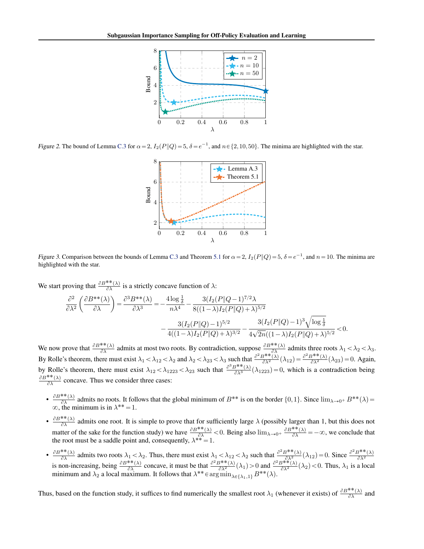<span id="page-19-0"></span>

Figure 2. The bound of Lemma [C.3](#page-12-0) for  $\alpha = 2$ ,  $I_2(P||Q) = 5$ ,  $\delta = e^{-1}$ , and  $n \in \{2, 10, 50\}$ . The minima are highlighted with the star.



Figure 3. Comparison between the bounds of Lemma [C.3](#page-12-0) and Theorem [5.1](#page-3-0) for  $\alpha = 2$ ,  $I_2(P||Q) = 5$ ,  $\delta = e^{-1}$ , and  $n = 10$ . The minima are highlighted with the star.

We start proving that  $\frac{\partial B^{**}(\lambda)}{\partial \lambda}$  is a strictly concave function of  $\lambda$ : ˙

$$
\frac{\partial^2}{\partial \lambda^2} \left( \frac{\partial B^{**}(\lambda)}{\partial \lambda} \right) = \frac{\partial^3 B^{**}(\lambda)}{\partial \lambda^3} = -\frac{4 \log \frac{1}{\delta}}{n \lambda^4} - \frac{3(I_2(P \| Q-1)^{7/2} \lambda)}{8((1-\lambda)I_2(P \| Q) + \lambda)^{5/2}} - \frac{3(I_2(P \| Q) - 1)^{5/2}}{4((1-\lambda)I_2(P \| Q) + \lambda)^{3/2}} - \frac{3(I_2(P \| Q) - 1)^3 \sqrt{\log \frac{1}{\delta}}}{4\sqrt{2n}((1-\lambda)I_2(P \| Q) + \lambda)^{5/2}} < 0.
$$

We now prove that  $\frac{\partial B^{**}(\lambda)}{\partial \lambda}$  admits at most two roots. By contradiction, suppose  $\frac{\partial B^{**}(\lambda)}{\partial \lambda}$  admits three roots  $\lambda_1 < \lambda_2 < \lambda_3$ . By Rolle's theorem, there must exist  $\lambda_1 < \lambda_{12} < \lambda_2$  and  $\lambda_2 < \lambda_{23} < \lambda_3$  such that  $\frac{\partial^2 B^{**}(\lambda)}{\partial \lambda^2}(\lambda_{12}) = \frac{\partial^2 B^{**}(\lambda)}{\partial \lambda^2}(\lambda_{23}) = 0$ . Again, by Rolle's theorem, there must exist  $\lambda_{12} < \lambda_{1223} < \lambda_{23}$  such that  $\frac{\partial^3 B^{**}(\lambda)}{\partial \lambda^3}(\lambda_{1223}) = 0$ , which is a contradiction being  $\partial B^{**}(\lambda)$  $\frac{\partial^2 f(x)}{\partial \lambda}$  concave. Thus we consider three cases:

- $\frac{\partial B^{**}(\lambda)}{\partial \lambda}$  $\frac{\partial^*(\lambda)}{\partial \lambda}$  admits no roots. It follows that the global minimum of  $B^{**}$  is on the border  $\{0,1\}$ . Since  $\lim_{\lambda\to 0^+} B^{**}(\lambda)$  =  $\infty$ , the minimum is in  $\lambda^{**} = 1$ .
- $\frac{\partial B^{**}(\lambda)}{\partial \lambda}$  $\frac{\partial A}{\partial \lambda}$  admits one root. It is simple to prove that for sufficiently large  $\lambda$  (possibly larger than 1, but this does not matter of the sake for the function study) we have  $\frac{\partial B^{**}(\lambda)}{\partial \lambda} < 0$ . Being also  $\lim_{\lambda \to 0^+} \frac{\partial B^{**}(\lambda)}{\partial \lambda} = -\infty$ , we conclude that the root must be a saddle point and, consequently,  $\lambda^{**} = 1$ .
- $\frac{\partial B^{**}(\lambda)}{\partial \lambda}$  $\frac{\partial^*(\lambda)}{\partial \lambda}$  admits two roots  $\lambda_1 < \lambda_2$ . Thus, there must exist  $\lambda_1 < \lambda_1 < \lambda_2 < \lambda_2$  such that  $\frac{\partial^2 B^{**}(\lambda)}{\partial \lambda^2}(\lambda_{12}) = 0$ . Since  $\frac{\partial^2 B^{**}(\lambda)}{\partial \lambda^2}$  $\frac{\partial \lambda}{\partial \lambda}$  and  $\frac{\partial B^*}{\partial \lambda}$  concave, it must be that  $\frac{\partial^2 B^{**}(\lambda)}{\partial \lambda^2}(\lambda_1) > 0$  and  $\frac{\partial^2 B^{**}(\lambda)}{\partial \lambda^2}(\lambda_2) < 0$ . Thus,  $\lambda_1$  is a local minimum and  $\lambda_2$  a local maximum. It follows that  $\lambda^{**} \in \arg\min_{\lambda \in {\{\lambda_1,1\}}} B^{**}(\lambda)$ .

Thus, based on the function study, it suffices to find numerically the smallest root  $\lambda_1$  (whenever it exists) of  $\frac{\partial B^{**}(\lambda)}{\partial \lambda}$  and